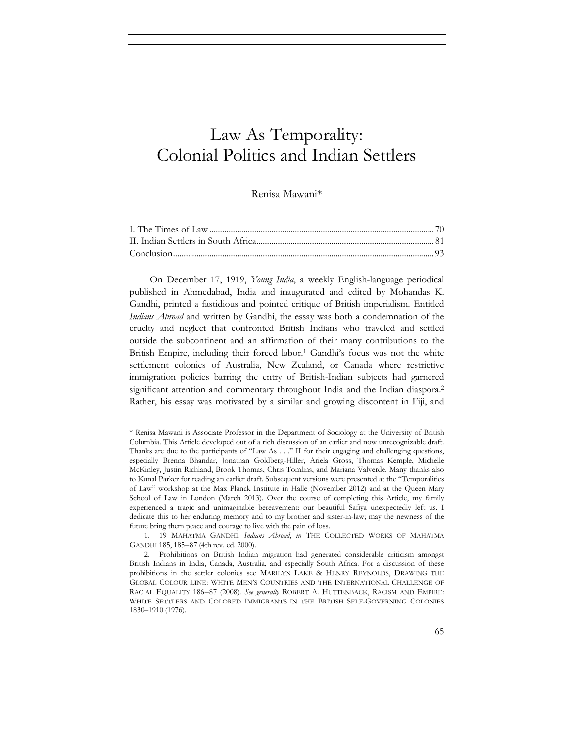# Law As Temporality: Colonial Politics and Indian Settlers

Renisa Mawani\*

On December 17, 1919, *Young India*, a weekly English-language periodical published in Ahmedabad, India and inaugurated and edited by Mohandas K. Gandhi, printed a fastidious and pointed critique of British imperialism. Entitled *Indians Abroad* and written by Gandhi, the essay was both a condemnation of the cruelty and neglect that confronted British Indians who traveled and settled outside the subcontinent and an affirmation of their many contributions to the British Empire, including their forced labor.<sup>1</sup> Gandhi's focus was not the white settlement colonies of Australia, New Zealand, or Canada where restrictive immigration policies barring the entry of British-Indian subjects had garnered significant attention and commentary throughout India and the Indian diaspora.<sup>2</sup> Rather, his essay was motivated by a similar and growing discontent in Fiji, and

<sup>\*</sup> Renisa Mawani is Associate Professor in the Department of Sociology at the University of British Columbia. This Article developed out of a rich discussion of an earlier and now unrecognizable draft. Thanks are due to the participants of "Law As . . ." II for their engaging and challenging questions, especially Brenna Bhandar, Jonathan Goldberg-Hiller, Ariela Gross, Thomas Kemple, Michelle McKinley, Justin Richland, Brook Thomas, Chris Tomlins, and Mariana Valverde. Many thanks also to Kunal Parker for reading an earlier draft. Subsequent versions were presented at the "Temporalities of Law" workshop at the Max Planck Institute in Halle (November 2012) and at the Queen Mary School of Law in London (March 2013). Over the course of completing this Article, my family experienced a tragic and unimaginable bereavement: our beautiful Safiya unexpectedly left us. I dedicate this to her enduring memory and to my brother and sister-in-law; may the newness of the future bring them peace and courage to live with the pain of loss.

<sup>1. 19</sup> MAHATMA GANDHI, *Indians Abroad*, *in* THE COLLECTED WORKS OF MAHATMA GANDHI 185, 185–87 (4th rev. ed. 2000).

<sup>2.</sup> Prohibitions on British Indian migration had generated considerable criticism amongst British Indians in India, Canada, Australia, and especially South Africa. For a discussion of these prohibitions in the settler colonies see MARILYN LAKE & HENRY REYNOLDS, DRAWING THE GLOBAL COLOUR LINE: WHITE MEN'S COUNTRIES AND THE INTERNATIONAL CHALLENGE OF RACIAL EQUALITY 186–87 (2008). *See generally* ROBERT A. HUTTENBACK, RACISM AND EMPIRE: WHITE SETTLERS AND COLORED IMMIGRANTS IN THE BRITISH SELF-GOVERNING COLONIES 1830–1910 (1976).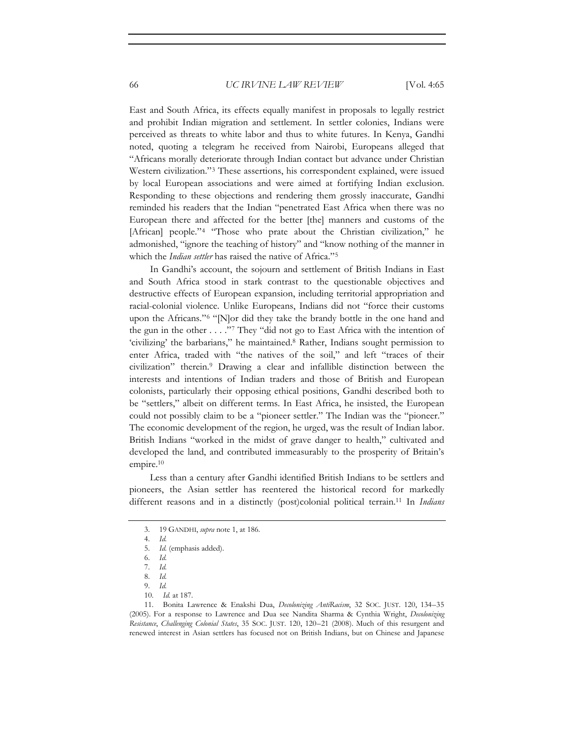East and South Africa, its effects equally manifest in proposals to legally restrict and prohibit Indian migration and settlement. In settler colonies, Indians were perceived as threats to white labor and thus to white futures. In Kenya, Gandhi noted, quoting a telegram he received from Nairobi, Europeans alleged that "Africans morally deteriorate through Indian contact but advance under Christian Western civilization."3 These assertions, his correspondent explained, were issued by local European associations and were aimed at fortifying Indian exclusion. Responding to these objections and rendering them grossly inaccurate, Gandhi reminded his readers that the Indian "penetrated East Africa when there was no European there and affected for the better [the] manners and customs of the [African] people."<sup>4</sup> "Those who prate about the Christian civilization," he admonished, "ignore the teaching of history" and "know nothing of the manner in which the *Indian settler* has raised the native of Africa."5

In Gandhi's account, the sojourn and settlement of British Indians in East and South Africa stood in stark contrast to the questionable objectives and destructive effects of European expansion, including territorial appropriation and racial-colonial violence. Unlike Europeans, Indians did not "force their customs upon the Africans."6 "[N]or did they take the brandy bottle in the one hand and the gun in the other . . . ."7 They "did not go to East Africa with the intention of 'civilizing' the barbarians," he maintained.8 Rather, Indians sought permission to enter Africa, traded with "the natives of the soil," and left "traces of their civilization" therein.9 Drawing a clear and infallible distinction between the interests and intentions of Indian traders and those of British and European colonists, particularly their opposing ethical positions, Gandhi described both to be "settlers," albeit on different terms. In East Africa, he insisted, the European could not possibly claim to be a "pioneer settler." The Indian was the "pioneer." The economic development of the region, he urged, was the result of Indian labor. British Indians "worked in the midst of grave danger to health," cultivated and developed the land, and contributed immeasurably to the prosperity of Britain's empire.10

Less than a century after Gandhi identified British Indians to be settlers and pioneers, the Asian settler has reentered the historical record for markedly different reasons and in a distinctly (post)colonial political terrain.11 In *Indians* 

<sup>3. 19</sup> GANDHI, *supra* note 1, at 186.

<sup>4.</sup> *Id.*

<sup>5.</sup> *Id.* (emphasis added).

<sup>6.</sup> *Id.*

<sup>7.</sup> *Id.*

<sup>8.</sup> *Id.*

<sup>9.</sup> *Id.*

<sup>10.</sup> *Id.* at 187.

<sup>11.</sup> Bonita Lawrence & Enakshi Dua, *Decolonizing AntiRacism*, 32 SOC. JUST. 120, 134–35 (2005). For a response to Lawrence and Dua see Nandita Sharma & Cynthia Wright, *Decolonizing Resistance*, *Challenging Colonial States*, 35 SOC. JUST. 120, 120–21 (2008). Much of this resurgent and renewed interest in Asian settlers has focused not on British Indians, but on Chinese and Japanese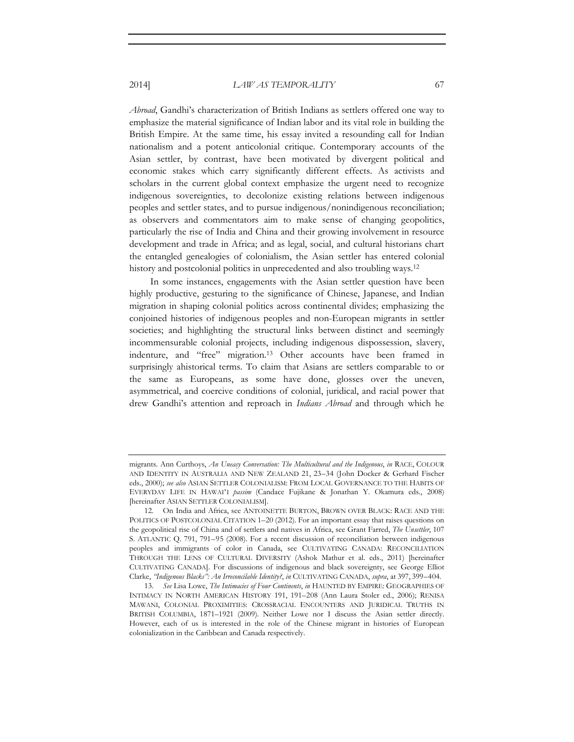*Abroad*, Gandhi's characterization of British Indians as settlers offered one way to emphasize the material significance of Indian labor and its vital role in building the British Empire. At the same time, his essay invited a resounding call for Indian nationalism and a potent anticolonial critique. Contemporary accounts of the Asian settler, by contrast, have been motivated by divergent political and economic stakes which carry significantly different effects. As activists and scholars in the current global context emphasize the urgent need to recognize indigenous sovereignties, to decolonize existing relations between indigenous peoples and settler states, and to pursue indigenous/nonindigenous reconciliation; as observers and commentators aim to make sense of changing geopolitics, particularly the rise of India and China and their growing involvement in resource development and trade in Africa; and as legal, social, and cultural historians chart the entangled genealogies of colonialism, the Asian settler has entered colonial history and postcolonial politics in unprecedented and also troubling ways.<sup>12</sup>

In some instances, engagements with the Asian settler question have been highly productive, gesturing to the significance of Chinese, Japanese, and Indian migration in shaping colonial politics across continental divides; emphasizing the conjoined histories of indigenous peoples and non-European migrants in settler societies; and highlighting the structural links between distinct and seemingly incommensurable colonial projects, including indigenous dispossession, slavery, indenture, and "free" migration.13 Other accounts have been framed in surprisingly ahistorical terms. To claim that Asians are settlers comparable to or the same as Europeans, as some have done, glosses over the uneven, asymmetrical, and coercive conditions of colonial, juridical, and racial power that drew Gandhi's attention and reproach in *Indians Abroad* and through which he

migrants. Ann Curthoys, *An Uneasy Conversation: The Multicultural and the Indigenous*, *in* RACE, COLOUR AND IDENTITY IN AUSTRALIA AND NEW ZEALAND 21, 23–34 (John Docker & Gerhard Fischer eds., 2000); *see also* ASIAN SETTLER COLONIALISM: FROM LOCAL GOVERNANCE TO THE HABITS OF EVERYDAY LIFE IN HAWAIʻI *passim* (Candace Fujikane & Jonathan Y. Okamura eds., 2008) [hereinafter ASIAN SETTLER COLONIALISM].

<sup>12.</sup> On India and Africa, see ANTOINETTE BURTON, BROWN OVER BLACK: RACE AND THE POLITICS OF POSTCOLONIAL CITATION 1-20 (2012). For an important essay that raises questions on the geopolitical rise of China and of settlers and natives in Africa, see Grant Farred, *The Unsettler*, 107 S. ATLANTIC Q. 791, 791–95 (2008). For a recent discussion of reconciliation between indigenous peoples and immigrants of color in Canada, see CULTIVATING CANADA: RECONCILIATION THROUGH THE LENS OF CULTURAL DIVERSITY (Ashok Mathur et al. eds., 2011) [hereinafter CULTIVATING CANADA]. For discussions of indigenous and black sovereignty, see George Elliot Clarke, *"Indigenous Blacks": An Irreconcilable Identity?*, *in* CULTIVATING CANADA, *supra*, at 397, 399–404.

<sup>13.</sup> *See* Lisa Lowe, *The Intimacies of Four Continents*, *in* HAUNTED BY EMPIRE: GEOGRAPHIES OF INTIMACY IN NORTH AMERICAN HISTORY 191, 191–208 (Ann Laura Stoler ed., 2006); RENISA MAWANI, COLONIAL PROXIMITIES: CROSSRACIAL ENCOUNTERS AND JURIDICAL TRUTHS IN BRITISH COLUMBIA, 1871–1921 (2009). Neither Lowe nor I discuss the Asian settler directly. However, each of us is interested in the role of the Chinese migrant in histories of European colonialization in the Caribbean and Canada respectively.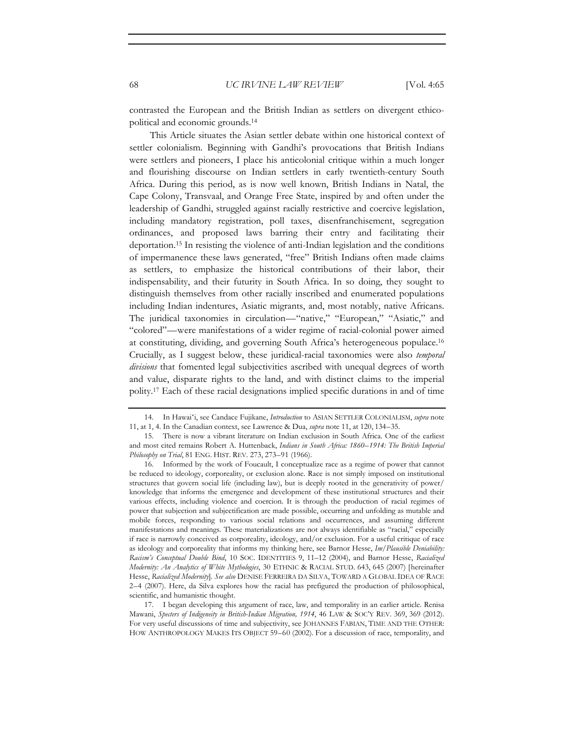contrasted the European and the British Indian as settlers on divergent ethicopolitical and economic grounds.14

This Article situates the Asian settler debate within one historical context of settler colonialism. Beginning with Gandhi's provocations that British Indians were settlers and pioneers, I place his anticolonial critique within a much longer and flourishing discourse on Indian settlers in early twentieth-century South Africa. During this period, as is now well known, British Indians in Natal, the Cape Colony, Transvaal, and Orange Free State, inspired by and often under the leadership of Gandhi, struggled against racially restrictive and coercive legislation, including mandatory registration, poll taxes, disenfranchisement, segregation ordinances, and proposed laws barring their entry and facilitating their deportation.15 In resisting the violence of anti-Indian legislation and the conditions of impermanence these laws generated, "free" British Indians often made claims as settlers, to emphasize the historical contributions of their labor, their indispensability, and their futurity in South Africa. In so doing, they sought to distinguish themselves from other racially inscribed and enumerated populations including Indian indentures, Asiatic migrants, and, most notably, native Africans. The juridical taxonomies in circulation—"native," "European," "Asiatic," and "colored"—were manifestations of a wider regime of racial-colonial power aimed at constituting, dividing, and governing South Africa's heterogeneous populace.16 Crucially, as I suggest below, these juridical-racial taxonomies were also *temporal divisions* that fomented legal subjectivities ascribed with unequal degrees of worth and value, disparate rights to the land, and with distinct claims to the imperial polity.17 Each of these racial designations implied specific durations in and of time

17. I began developing this argument of race, law, and temporality in an earlier article. Renisa Mawani, *Specters of Indigeneity in British-Indian Migration, 1914*, 46 LAW & SOC'Y REV. 369, 369 (2012). For very useful discussions of time and subjectivity, see JOHANNES FABIAN, TIME AND THE OTHER: HOW ANTHROPOLOGY MAKES ITS OBJECT 59–60 (2002). For a discussion of race, temporality, and

<sup>14.</sup> In Hawaiʻi, see Candace Fujikane, *Introduction* to ASIAN SETTLER COLONIALISM, *supra* note 11, at 1, 4. In the Canadian context, see Lawrence & Dua, *supra* note 11, at 120, 134–35.

<sup>15.</sup> There is now a vibrant literature on Indian exclusion in South Africa. One of the earliest and most cited remains Robert A. Huttenback, *Indians in South Africa: 1860–1914: The British Imperial Philosophy on Trial*, 81 ENG. HIST. REV. 273, 273–91 (1966).

<sup>16.</sup> Informed by the work of Foucault, I conceptualize race as a regime of power that cannot be reduced to ideology, corporeality, or exclusion alone. Race is not simply imposed on institutional structures that govern social life (including law), but is deeply rooted in the generativity of power/ knowledge that informs the emergence and development of these institutional structures and their various effects, including violence and coercion. It is through the production of racial regimes of power that subjection and subjectification are made possible, occurring and unfolding as mutable and mobile forces, responding to various social relations and occurrences, and assuming different manifestations and meanings. These materializations are not always identifiable as "racial," especially if race is narrowly conceived as corporeality, ideology, and/or exclusion. For a useful critique of race as ideology and corporeality that informs my thinking here, see Barnor Hesse, *Im/Plausible Deniability: Racism's Conceptual Double Bind*, 10 SOC. IDENTITIES 9, 11–12 (2004), and Barnor Hesse, *Racialized Modernity: An Analytics of White Mythologies*, 30 ETHNIC & RACIAL STUD. 643, 645 (2007) [hereinafter Hesse, *Racialized Modernity*]. *See also* DENISE FERREIRA DA SILVA, TOWARD A GLOBAL IDEA OF RACE 2–4 (2007). Here, da Silva explores how the racial has prefigured the production of philosophical, scientific, and humanistic thought.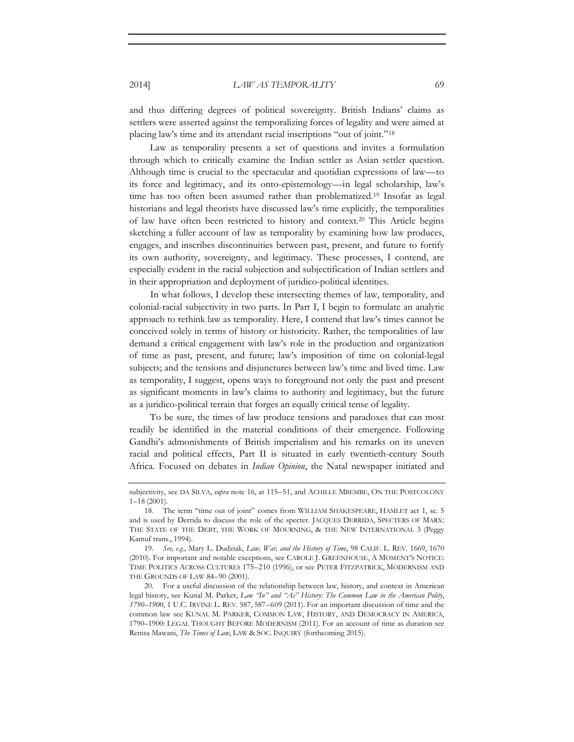and thus differing degrees of political sovereignty. British Indians' claims as settlers were asserted against the temporalizing forces of legality and were aimed at placing law's time and its attendant racial inscriptions "out of joint."18

Law as temporality presents a set of questions and invites a formulation through which to critically examine the Indian settler as Asian settler question. Although time is crucial to the spectacular and quotidian expressions of law—to its force and legitimacy, and its onto-epistemology—in legal scholarship, law's time has too often been assumed rather than problematized.19 Insofar as legal historians and legal theorists have discussed law's time explicitly, the temporalities of law have often been restricted to history and context.20 This Article begins sketching a fuller account of law as temporality by examining how law produces, engages, and inscribes discontinuities between past, present, and future to fortify its own authority, sovereignty, and legitimacy. These processes, I contend, are especially evident in the racial subjection and subjectification of Indian settlers and in their appropriation and deployment of juridico-political identities.

In what follows, I develop these intersecting themes of law, temporality, and colonial-racial subjectivity in two parts. In Part I, I begin to formulate an analytic approach to rethink law as temporality. Here, I contend that law's times cannot be conceived solely in terms of history or historicity. Rather, the temporalities of law demand a critical engagement with law's role in the production and organization of time as past, present, and future; law's imposition of time on colonial-legal subjects; and the tensions and disjunctures between law's time and lived time. Law as temporality, I suggest, opens ways to foreground not only the past and present as significant moments in law's claims to authority and legitimacy, but the future as a juridico-political terrain that forges an equally critical tense of legality.

To be sure, the times of law produce tensions and paradoxes that can most readily be identified in the material conditions of their emergence. Following Gandhi's admonishments of British imperialism and his remarks on its uneven racial and political effects, Part II is situated in early twentieth-century South Africa. Focused on debates in *Indian Opinion*, the Natal newspaper initiated and

subjectivity, see DA SILVA, *supra* note 16, at 115–51, and ACHILLE MBEMBE, ON THE POSTCOLONY 1–18 (2001).

<sup>18.</sup> The term "time out of joint" comes from WILLIAM SHAKESPEARE, HAMLET act 1, sc. 5 and is used by Derrida to discuss the role of the specter. JACQUES DERRIDA, SPECTERS OF MARX: THE STATE OF THE DEBT, THE WORK OF MOURNING, & THE NEW INTERNATIONAL 3 (Peggy Kamuf trans., 1994).

<sup>19.</sup> *See, e*.*g*., Mary L. Dudziak, *Law, War, and the History of Time*, 98 CALIF. L. REV. 1669, 1670 (2010). For important and notable exceptions, see CAROLE J. GREENHOUSE, A MOMENT'S NOTICE: TIME POLITICS ACROSS CULTURES 175–210 (1996), or see PETER FITZPATRICK, MODERNISM AND THE GROUNDS OF LAW 84–90 (2001).

<sup>20.</sup> For a useful discussion of the relationship between law, history, and context in American legal history, see Kunal M. Parker, *Law "In" and "As" History: The Common Law in the American Polity*, *1790–1900*, 1 U.C. IRVINE L. REV. 587, 587–609 (2011). For an important discussion of time and the common law see KUNAL M. PARKER, COMMON LAW, HISTORY, AND DEMOCRACY IN AMERICA, 1790–1900: LEGAL THOUGHT BEFORE MODERNISM (2011). For an account of time as duration see Renisa Mawani, *The Times of Law*, LAW & SOC. INQUIRY (forthcoming 2015).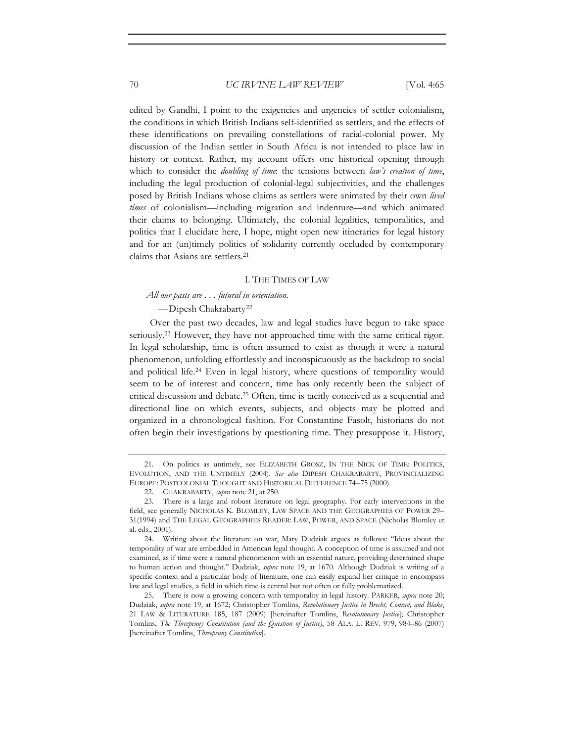edited by Gandhi, I point to the exigencies and urgencies of settler colonialism, the conditions in which British Indians self-identified as settlers, and the effects of these identifications on prevailing constellations of racial-colonial power. My discussion of the Indian settler in South Africa is not intended to place law in history or context. Rather, my account offers one historical opening through which to consider the *doubling of time*: the tensions between *law's creation of time*, including the legal production of colonial-legal subjectivities, and the challenges posed by British Indians whose claims as settlers were animated by their own *lived times* of colonialism—including migration and indenture—and which animated their claims to belonging. Ultimately, the colonial legalities, temporalities, and politics that I elucidate here, I hope, might open new itineraries for legal history and for an (un)timely politics of solidarity currently occluded by contemporary claims that Asians are settlers.21

# I. THE TIMES OF LAW

## *All our pasts are . . . futural in orientation.*

—Dipesh Chakrabarty22

Over the past two decades, law and legal studies have begun to take space seriously.<sup>23</sup> However, they have not approached time with the same critical rigor. In legal scholarship, time is often assumed to exist as though it were a natural phenomenon, unfolding effortlessly and inconspicuously as the backdrop to social and political life.24 Even in legal history, where questions of temporality would seem to be of interest and concern, time has only recently been the subject of critical discussion and debate.25 Often, time is tacitly conceived as a sequential and directional line on which events, subjects, and objects may be plotted and organized in a chronological fashion. For Constantine Fasolt, historians do not often begin their investigations by questioning time. They presuppose it. History,

<sup>21.</sup> On politics as untimely, see ELIZABETH GROSZ, IN THE NICK OF TIME: POLITICS, EVOLUTION, AND THE UNTIMELY (2004). *See also* DIPESH CHAKRABARTY, PROVINCIALIZING EUROPE: POSTCOLONIAL THOUGHT AND HISTORICAL DIFFERENCE 74–75 (2000).

<sup>22.</sup> CHAKRABARTY, *supra* note 21, at 250.

<sup>23.</sup> There is a large and robust literature on legal geography. For early interventions in the field, see generally NICHOLAS K. BLOMLEY, LAW SPACE AND THE GEOGRAPHIES OF POWER 29– 31(1994) and THE LEGAL GEOGRAPHIES READER: LAW, POWER, AND SPACE (Nicholas Blomley et al. eds., 2001).

<sup>24.</sup> Writing about the literature on war, Mary Dudziak argues as follows: "Ideas about the temporality of war are embedded in American legal thought. A conception of time is assumed and not examined, as if time were a natural phenomenon with an essential nature, providing determined shape to human action and thought." Dudziak, *supra* note 19, at 1670. Although Dudziak is writing of a specific context and a particular body of literature, one can easily expand her critique to encompass law and legal studies, a field in which time is central but not often or fully problematized.

<sup>25.</sup> There is now a growing concern with temporality in legal history. PARKER, *supra* note 20; Dudziak, *supra* note 19, at 1672; Christopher Tomlins, *Revolutionary Justice in Brecht, Conrad, and Blake*, 21 LAW & LITERATURE 185, 187 (2009) [hereinafter Tomlins, *Revolutionary Justice*]; Christopher Tomlins, *The Threepenny Constitution (and the Question of Justice)*, 58 ALA. L. REV. 979, 984–86 (2007) [hereinafter Tomlins, *Threepenny Constitution*].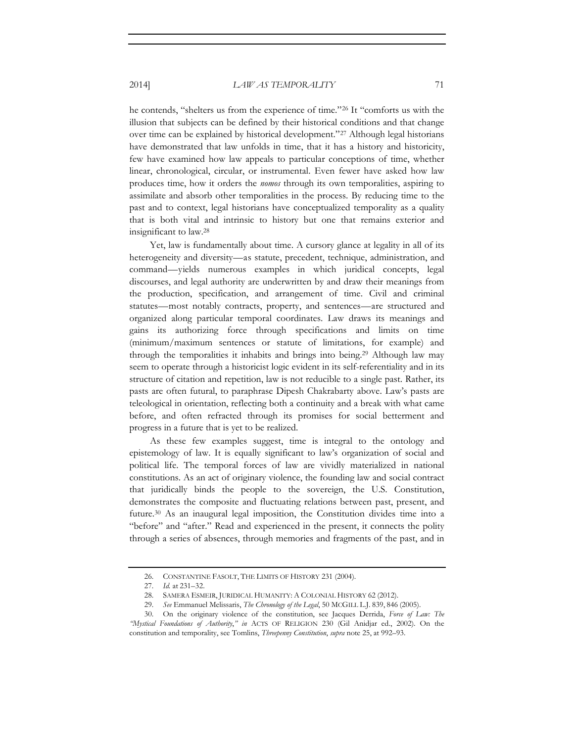he contends, "shelters us from the experience of time."26 It "comforts us with the illusion that subjects can be defined by their historical conditions and that change over time can be explained by historical development."27 Although legal historians have demonstrated that law unfolds in time, that it has a history and historicity, few have examined how law appeals to particular conceptions of time, whether linear, chronological, circular, or instrumental. Even fewer have asked how law produces time, how it orders the *nomos* through its own temporalities, aspiring to assimilate and absorb other temporalities in the process. By reducing time to the past and to context, legal historians have conceptualized temporality as a quality that is both vital and intrinsic to history but one that remains exterior and insignificant to law.28

Yet, law is fundamentally about time. A cursory glance at legality in all of its heterogeneity and diversity—as statute, precedent, technique, administration, and command—yields numerous examples in which juridical concepts, legal discourses, and legal authority are underwritten by and draw their meanings from the production, specification, and arrangement of time. Civil and criminal statutes—most notably contracts, property, and sentences—are structured and organized along particular temporal coordinates. Law draws its meanings and gains its authorizing force through specifications and limits on time (minimum/maximum sentences or statute of limitations, for example) and through the temporalities it inhabits and brings into being.29 Although law may seem to operate through a historicist logic evident in its self-referentiality and in its structure of citation and repetition, law is not reducible to a single past. Rather, its pasts are often futural, to paraphrase Dipesh Chakrabarty above. Law's pasts are teleological in orientation, reflecting both a continuity and a break with what came before, and often refracted through its promises for social betterment and progress in a future that is yet to be realized.

As these few examples suggest, time is integral to the ontology and epistemology of law. It is equally significant to law's organization of social and political life. The temporal forces of law are vividly materialized in national constitutions. As an act of originary violence, the founding law and social contract that juridically binds the people to the sovereign, the U.S. Constitution, demonstrates the composite and fluctuating relations between past, present, and future.30 As an inaugural legal imposition, the Constitution divides time into a "before" and "after." Read and experienced in the present, it connects the polity through a series of absences, through memories and fragments of the past, and in

<sup>26.</sup> CONSTANTINE FASOLT, THE LIMITS OF HISTORY 231 (2004).

<sup>27.</sup> *Id.* at 231–32.

<sup>28.</sup> SAMERA ESMEIR, JURIDICAL HUMANITY: A COLONIAL HISTORY 62 (2012).

<sup>29.</sup> *See* Emmanuel Melissaris, *The Chronology of the Legal*, 50 MCGILL L.J. 839, 846 (2005).

<sup>30.</sup> On the originary violence of the constitution, see Jacques Derrida, *Force of Law: The "Mystical Foundations of Authority*,*" in* ACTS OF RELIGION 230 (Gil Anidjar ed., 2002). On the constitution and temporality, see Tomlins, *Threepenny Constitution*, *supra* note 25, at 992–93.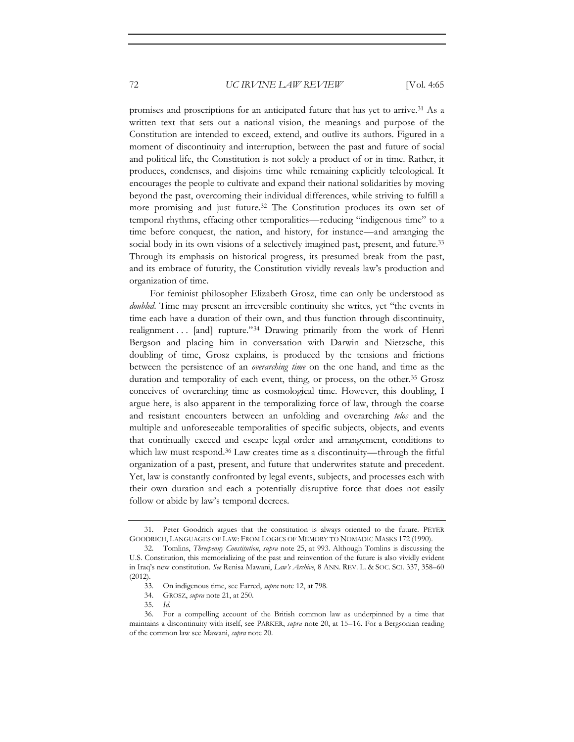promises and proscriptions for an anticipated future that has yet to arrive.31 As a written text that sets out a national vision, the meanings and purpose of the Constitution are intended to exceed, extend, and outlive its authors. Figured in a moment of discontinuity and interruption, between the past and future of social and political life, the Constitution is not solely a product of or in time. Rather, it produces, condenses, and disjoins time while remaining explicitly teleological. It encourages the people to cultivate and expand their national solidarities by moving beyond the past, overcoming their individual differences, while striving to fulfill a more promising and just future.32 The Constitution produces its own set of temporal rhythms, effacing other temporalities—reducing "indigenous time" to a time before conquest, the nation, and history, for instance—and arranging the social body in its own visions of a selectively imagined past, present, and future.<sup>33</sup> Through its emphasis on historical progress, its presumed break from the past, and its embrace of futurity, the Constitution vividly reveals law's production and organization of time.

For feminist philosopher Elizabeth Grosz, time can only be understood as *doubled*. Time may present an irreversible continuity she writes, yet "the events in time each have a duration of their own, and thus function through discontinuity, realignment . . . [and] rupture."<sup>34</sup> Drawing primarily from the work of Henri Bergson and placing him in conversation with Darwin and Nietzsche, this doubling of time, Grosz explains, is produced by the tensions and frictions between the persistence of an *overarching time* on the one hand, and time as the duration and temporality of each event, thing, or process, on the other.35 Grosz conceives of overarching time as cosmological time. However, this doubling, I argue here, is also apparent in the temporalizing force of law, through the coarse and resistant encounters between an unfolding and overarching *telos* and the multiple and unforeseeable temporalities of specific subjects, objects, and events that continually exceed and escape legal order and arrangement, conditions to which law must respond.<sup>36</sup> Law creates time as a discontinuity—through the fitful organization of a past, present, and future that underwrites statute and precedent. Yet, law is constantly confronted by legal events, subjects, and processes each with their own duration and each a potentially disruptive force that does not easily follow or abide by law's temporal decrees.

- 34. GROSZ, *supra* note 21, at 250.
- 35. *Id.*

<sup>31.</sup> Peter Goodrich argues that the constitution is always oriented to the future. PETER GOODRICH, LANGUAGES OF LAW: FROM LOGICS OF MEMORY TO NOMADIC MASKS 172 (1990).

<sup>32.</sup> Tomlins, *Threepenny Constitution*, *supra* note 25, at 993. Although Tomlins is discussing the U.S. Constitution, this memorializing of the past and reinvention of the future is also vividly evident in Iraq's new constitution. *See* Renisa Mawani, *Law's Archive*, 8 ANN. REV. L. & SOC. SCI. 337, 358–60 (2012).

<sup>33.</sup> On indigenous time, see Farred, *supra* note 12, at 798.

<sup>36.</sup> For a compelling account of the British common law as underpinned by a time that maintains a discontinuity with itself, see PARKER, *supra* note 20, at 15–16. For a Bergsonian reading of the common law see Mawani, *supra* note 20.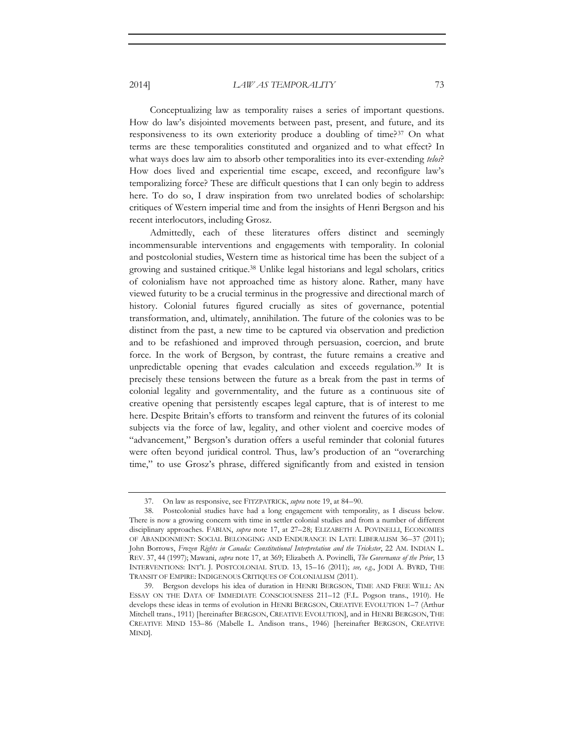Conceptualizing law as temporality raises a series of important questions. How do law's disjointed movements between past, present, and future, and its responsiveness to its own exteriority produce a doubling of time?37 On what terms are these temporalities constituted and organized and to what effect? In what ways does law aim to absorb other temporalities into its ever-extending *telos*? How does lived and experiential time escape, exceed, and reconfigure law's temporalizing force? These are difficult questions that I can only begin to address here. To do so, I draw inspiration from two unrelated bodies of scholarship: critiques of Western imperial time and from the insights of Henri Bergson and his recent interlocutors, including Grosz.

Admittedly, each of these literatures offers distinct and seemingly incommensurable interventions and engagements with temporality. In colonial and postcolonial studies, Western time as historical time has been the subject of a growing and sustained critique.38 Unlike legal historians and legal scholars, critics of colonialism have not approached time as history alone. Rather, many have viewed futurity to be a crucial terminus in the progressive and directional march of history. Colonial futures figured crucially as sites of governance, potential transformation, and, ultimately, annihilation. The future of the colonies was to be distinct from the past, a new time to be captured via observation and prediction and to be refashioned and improved through persuasion, coercion, and brute force. In the work of Bergson, by contrast, the future remains a creative and unpredictable opening that evades calculation and exceeds regulation.39 It is precisely these tensions between the future as a break from the past in terms of colonial legality and governmentality, and the future as a continuous site of creative opening that persistently escapes legal capture, that is of interest to me here. Despite Britain's efforts to transform and reinvent the futures of its colonial subjects via the force of law, legality, and other violent and coercive modes of "advancement," Bergson's duration offers a useful reminder that colonial futures were often beyond juridical control. Thus, law's production of an "overarching time," to use Grosz's phrase, differed significantly from and existed in tension

<sup>37.</sup> On law as responsive, see FITZPATRICK, *supra* note 19, at 84–90.

<sup>38.</sup> Postcolonial studies have had a long engagement with temporality, as I discuss below. There is now a growing concern with time in settler colonial studies and from a number of different disciplinary approaches. FABIAN, *supra* note 17, at 27–28; ELIZABETH A. POVINELLI, ECONOMIES OF ABANDONMENT: SOCIAL BELONGING AND ENDURANCE IN LATE LIBERALISM 36–37 (2011); John Borrows, *Frozen Rights in Canada: Constitutional Interpretation and the Trickster*, 22 AM. INDIAN L. REV. 37, 44 (1997); Mawani, *supra* note 17, at 369; Elizabeth A. Povinelli, *The Governance of the Prior*, 13 INTERVENTIONS: INT'L J. POSTCOLONIAL STUD. 13, 15–16 (2011); *see, e*.*g*., JODI A. BYRD, THE TRANSIT OF EMPIRE: INDIGENOUS CRITIQUES OF COLONIALISM (2011).

<sup>39.</sup> Bergson develops his idea of duration in HENRI BERGSON, TIME AND FREE WILL: AN ESSAY ON THE DATA OF IMMEDIATE CONSCIOUSNESS 211–12 (F.L. Pogson trans., 1910). He develops these ideas in terms of evolution in HENRI BERGSON, CREATIVE EVOLUTION 1–7 (Arthur Mitchell trans., 1911) [hereinafter BERGSON, CREATIVE EVOLUTION], and in HENRI BERGSON, THE CREATIVE MIND 153–86 (Mabelle L. Andison trans., 1946) [hereinafter BERGSON, CREATIVE MIND].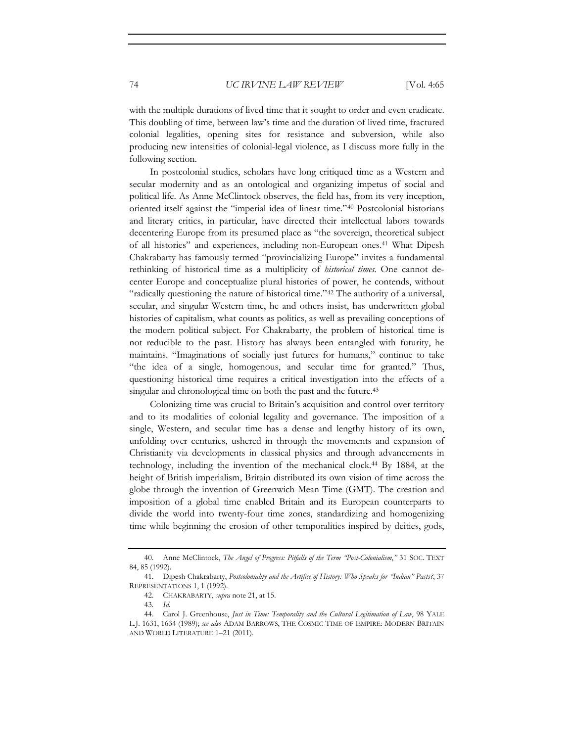with the multiple durations of lived time that it sought to order and even eradicate. This doubling of time, between law's time and the duration of lived time, fractured colonial legalities, opening sites for resistance and subversion, while also producing new intensities of colonial-legal violence, as I discuss more fully in the following section.

In postcolonial studies, scholars have long critiqued time as a Western and secular modernity and as an ontological and organizing impetus of social and political life. As Anne McClintock observes, the field has, from its very inception, oriented itself against the "imperial idea of linear time."40 Postcolonial historians and literary critics, in particular, have directed their intellectual labors towards decentering Europe from its presumed place as "the sovereign, theoretical subject of all histories" and experiences, including non-European ones.41 What Dipesh Chakrabarty has famously termed "provincializing Europe" invites a fundamental rethinking of historical time as a multiplicity of *historical times*. One cannot decenter Europe and conceptualize plural histories of power, he contends, without "radically questioning the nature of historical time."42 The authority of a universal, secular, and singular Western time, he and others insist, has underwritten global histories of capitalism, what counts as politics, as well as prevailing conceptions of the modern political subject. For Chakrabarty, the problem of historical time is not reducible to the past. History has always been entangled with futurity, he maintains. "Imaginations of socially just futures for humans," continue to take "the idea of a single, homogenous, and secular time for granted." Thus, questioning historical time requires a critical investigation into the effects of a singular and chronological time on both the past and the future.<sup>43</sup>

Colonizing time was crucial to Britain's acquisition and control over territory and to its modalities of colonial legality and governance. The imposition of a single, Western, and secular time has a dense and lengthy history of its own, unfolding over centuries, ushered in through the movements and expansion of Christianity via developments in classical physics and through advancements in technology, including the invention of the mechanical clock.44 By 1884, at the height of British imperialism, Britain distributed its own vision of time across the globe through the invention of Greenwich Mean Time (GMT). The creation and imposition of a global time enabled Britain and its European counterparts to divide the world into twenty-four time zones, standardizing and homogenizing time while beginning the erosion of other temporalities inspired by deities, gods,

<sup>40.</sup> Anne McClintock, *The Angel of Progress: Pitfalls of the Term "Post-Colonialism*,*"* 31 SOC. TEXT 84, 85 (1992).

<sup>41.</sup> Dipesh Chakrabarty, *Postcoloniality and the Artifice of History: Who Speaks for "Indian" Pasts?*, 37 REPRESENTATIONS 1, 1 (1992).

<sup>42.</sup> CHAKRABARTY, *supra* note 21, at 15.

<sup>43.</sup> *Id.*

<sup>44.</sup> Carol J. Greenhouse, *Just in Time: Temporality and the Cultural Legitimation of Law*, 98 YALE L.J. 1631, 1634 (1989); *see also* ADAM BARROWS, THE COSMIC TIME OF EMPIRE: MODERN BRITAIN AND WORLD LITERATURE 1–21 (2011).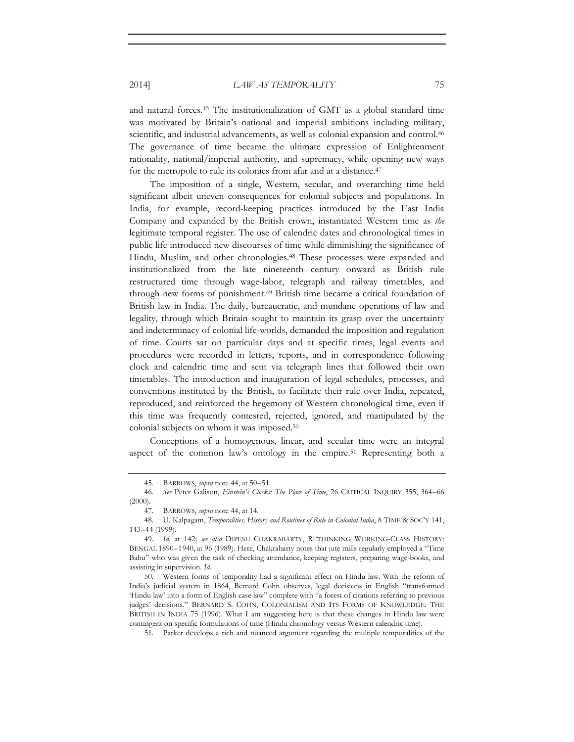and natural forces.45 The institutionalization of GMT as a global standard time was motivated by Britain's national and imperial ambitions including military, scientific, and industrial advancements, as well as colonial expansion and control.46 The governance of time became the ultimate expression of Enlightenment rationality, national/imperial authority, and supremacy, while opening new ways for the metropole to rule its colonies from afar and at a distance.47

The imposition of a single, Western, secular, and overarching time held significant albeit uneven consequences for colonial subjects and populations. In India, for example, record-keeping practices introduced by the East India Company and expanded by the British crown, instantiated Western time as *the* legitimate temporal register. The use of calendric dates and chronological times in public life introduced new discourses of time while diminishing the significance of Hindu, Muslim, and other chronologies.<sup>48</sup> These processes were expanded and institutionalized from the late nineteenth century onward as British rule restructured time through wage-labor, telegraph and railway timetables, and through new forms of punishment.49 British time became a critical foundation of British law in India. The daily, bureaucratic, and mundane operations of law and legality, through which Britain sought to maintain its grasp over the uncertainty and indeterminacy of colonial life-worlds, demanded the imposition and regulation of time. Courts sat on particular days and at specific times, legal events and procedures were recorded in letters, reports, and in correspondence following clock and calendric time and sent via telegraph lines that followed their own timetables. The introduction and inauguration of legal schedules, processes, and conventions instituted by the British, to facilitate their rule over India, repeated, reproduced, and reinforced the hegemony of Western chronological time, even if this time was frequently contested, rejected, ignored, and manipulated by the colonial subjects on whom it was imposed.50

Conceptions of a homogenous, linear, and secular time were an integral aspect of the common law's ontology in the empire.<sup>51</sup> Representing both a

51. Parker develops a rich and nuanced argument regarding the multiple temporalities of the

<sup>45.</sup> BARROWS, *supra* note 44, at 50–51.

<sup>46.</sup> *See* Peter Galison, *Einstein's Clocks: The Place of Time*, 26 CRITICAL INQUIRY 355, 364–66  $(2000)$ .

<sup>47.</sup> BARROWS, *supra* note 44, at 14.

<sup>48.</sup> U. Kalpagam, *Temporalities, History and Routines of Rule in Colonial India*, 8 TIME & SOC'Y 141, 143–44 (1999).

<sup>49.</sup> *Id.* at 142; *see also* DIPESH CHAKRABARTY, RETHINKING WORKING-CLASS HISTORY: BENGAL 1890–1940, at 96 (1989). Here, Chakrabarty notes that jute mills regularly employed a "Time Babu" who was given the task of checking attendance, keeping registers, preparing wage-books, and assisting in supervision. *Id.*

<sup>50.</sup> Western forms of temporality had a significant effect on Hindu law. With the reform of India's judicial system in 1864, Bernard Cohn observes, legal decisions in English "transformed 'Hindu law' into a form of English case law" complete with "a forest of citations referring to previous judges' decisions." BERNARD S. COHN, COLONIALISM AND ITS FORMS OF KNOWLEDGE: THE BRITISH IN INDIA 75 (1996). What I am suggesting here is that these changes in Hindu law were contingent on specific formulations of time (Hindu chronology versus Western calendric time).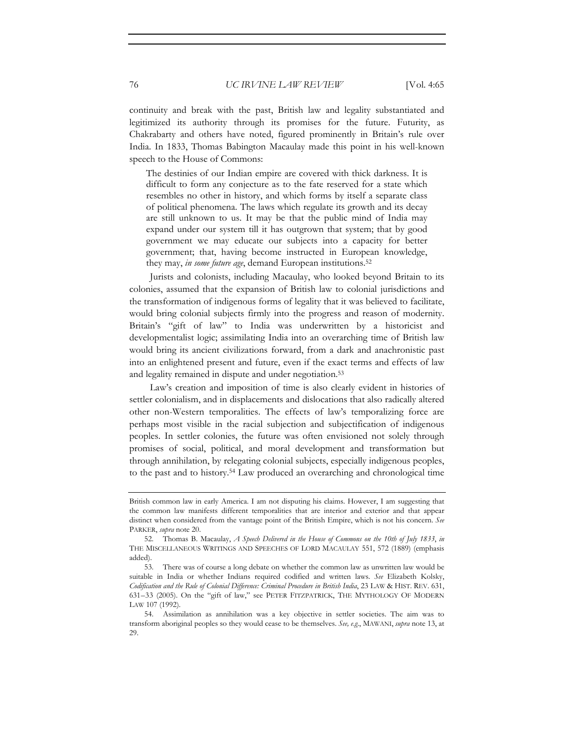continuity and break with the past, British law and legality substantiated and legitimized its authority through its promises for the future. Futurity, as Chakrabarty and others have noted, figured prominently in Britain's rule over India. In 1833, Thomas Babington Macaulay made this point in his well-known speech to the House of Commons:

The destinies of our Indian empire are covered with thick darkness. It is difficult to form any conjecture as to the fate reserved for a state which resembles no other in history, and which forms by itself a separate class of political phenomena. The laws which regulate its growth and its decay are still unknown to us. It may be that the public mind of India may expand under our system till it has outgrown that system; that by good government we may educate our subjects into a capacity for better government; that, having become instructed in European knowledge, they may, *in some future age*, demand European institutions.52

Jurists and colonists, including Macaulay, who looked beyond Britain to its colonies, assumed that the expansion of British law to colonial jurisdictions and the transformation of indigenous forms of legality that it was believed to facilitate, would bring colonial subjects firmly into the progress and reason of modernity. Britain's "gift of law" to India was underwritten by a historicist and developmentalist logic; assimilating India into an overarching time of British law would bring its ancient civilizations forward, from a dark and anachronistic past into an enlightened present and future, even if the exact terms and effects of law and legality remained in dispute and under negotiation.53

Law's creation and imposition of time is also clearly evident in histories of settler colonialism, and in displacements and dislocations that also radically altered other non-Western temporalities. The effects of law's temporalizing force are perhaps most visible in the racial subjection and subjectification of indigenous peoples. In settler colonies, the future was often envisioned not solely through promises of social, political, and moral development and transformation but through annihilation, by relegating colonial subjects, especially indigenous peoples, to the past and to history.54 Law produced an overarching and chronological time

British common law in early America. I am not disputing his claims. However, I am suggesting that the common law manifests different temporalities that are interior and exterior and that appear distinct when considered from the vantage point of the British Empire, which is not his concern. *See* PARKER, *supra* note 20.

<sup>52.</sup> Thomas B. Macaulay, *A Speech Delivered in the House of Commons on the 10th of July 1833*, *in* THE MISCELLANEOUS WRITINGS AND SPEECHES OF LORD MACAULAY 551, 572 (1889) (emphasis added).

<sup>53.</sup> There was of course a long debate on whether the common law as unwritten law would be suitable in India or whether Indians required codified and written laws. *See* Elizabeth Kolsky, *Codification and the Rule of Colonial Difference: Criminal Procedure in British India*, 23 LAW & HIST. REV. 631, 631–33 (2005). On the "gift of law," see PETER FITZPATRICK, THE MYTHOLOGY OF MODERN LAW 107 (1992).

<sup>54.</sup> Assimilation as annihilation was a key objective in settler societies. The aim was to transform aboriginal peoples so they would cease to be themselves. *See, e*.*g*., MAWANI, *supra* note 13, at 29.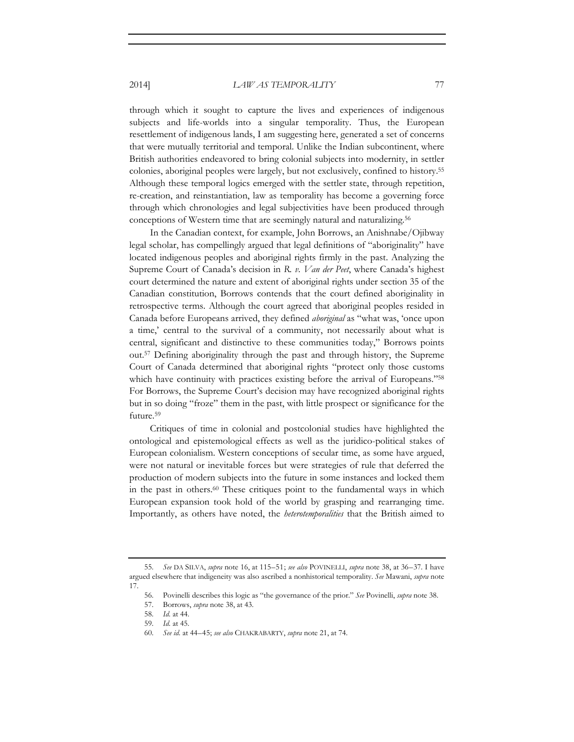through which it sought to capture the lives and experiences of indigenous subjects and life-worlds into a singular temporality. Thus, the European resettlement of indigenous lands, I am suggesting here, generated a set of concerns that were mutually territorial and temporal. Unlike the Indian subcontinent, where British authorities endeavored to bring colonial subjects into modernity, in settler colonies, aboriginal peoples were largely, but not exclusively, confined to history.55 Although these temporal logics emerged with the settler state, through repetition, re-creation, and reinstantiation, law as temporality has become a governing force through which chronologies and legal subjectivities have been produced through conceptions of Western time that are seemingly natural and naturalizing.<sup>56</sup>

In the Canadian context, for example, John Borrows, an Anishnabe/Ojibway legal scholar, has compellingly argued that legal definitions of "aboriginality" have located indigenous peoples and aboriginal rights firmly in the past. Analyzing the Supreme Court of Canada's decision in *R. v. Van der Peet*, where Canada's highest court determined the nature and extent of aboriginal rights under section 35 of the Canadian constitution, Borrows contends that the court defined aboriginality in retrospective terms. Although the court agreed that aboriginal peoples resided in Canada before Europeans arrived, they defined *aboriginal* as "what was, 'once upon a time,' central to the survival of a community, not necessarily about what is central, significant and distinctive to these communities today," Borrows points out.57 Defining aboriginality through the past and through history, the Supreme Court of Canada determined that aboriginal rights "protect only those customs which have continuity with practices existing before the arrival of Europeans."<sup>58</sup> For Borrows, the Supreme Court's decision may have recognized aboriginal rights but in so doing "froze" them in the past, with little prospect or significance for the future.<sup>59</sup>

Critiques of time in colonial and postcolonial studies have highlighted the ontological and epistemological effects as well as the juridico-political stakes of European colonialism. Western conceptions of secular time, as some have argued, were not natural or inevitable forces but were strategies of rule that deferred the production of modern subjects into the future in some instances and locked them in the past in others.60 These critiques point to the fundamental ways in which European expansion took hold of the world by grasping and rearranging time. Importantly, as others have noted, the *heterotemporalities* that the British aimed to

<sup>55.</sup> *See* DA SILVA, *supra* note 16, at 115–51; *see also* POVINELLI, *supra* note 38, at 36–37. I have argued elsewhere that indigeneity was also ascribed a nonhistorical temporality. *See* Mawani, *supra* note 17.

<sup>56.</sup> Povinelli describes this logic as "the governance of the prior." *See* Povinelli, *supra* note 38.

<sup>57.</sup> Borrows, *supra* note 38, at 43.

<sup>58.</sup> *Id.* at 44.

<sup>59.</sup> *Id.* at 45.

<sup>60.</sup> *See id.* at 44–45; *see also* CHAKRABARTY, *supra* note 21, at 74.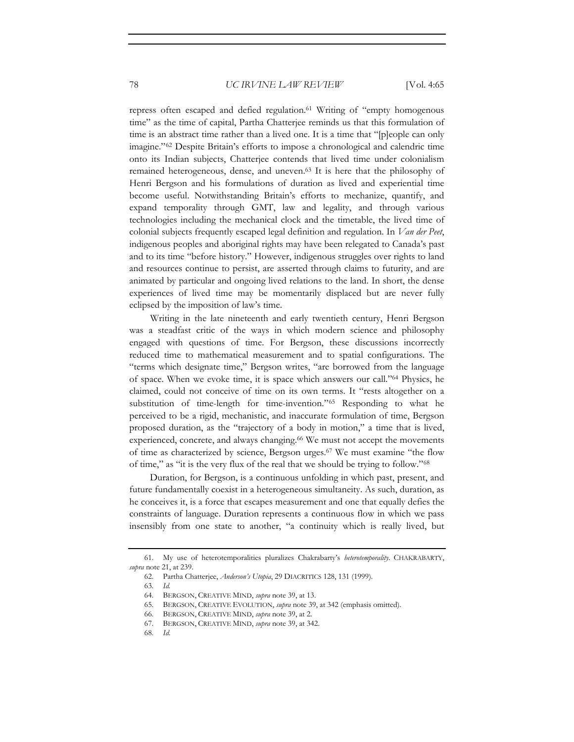repress often escaped and defied regulation.<sup>61</sup> Writing of "empty homogenous time" as the time of capital, Partha Chatterjee reminds us that this formulation of time is an abstract time rather than a lived one. It is a time that "[p]eople can only imagine."62 Despite Britain's efforts to impose a chronological and calendric time onto its Indian subjects, Chatterjee contends that lived time under colonialism remained heterogeneous, dense, and uneven.63 It is here that the philosophy of Henri Bergson and his formulations of duration as lived and experiential time become useful. Notwithstanding Britain's efforts to mechanize, quantify, and expand temporality through GMT, law and legality, and through various technologies including the mechanical clock and the timetable, the lived time of colonial subjects frequently escaped legal definition and regulation. In *Van der Peet*, indigenous peoples and aboriginal rights may have been relegated to Canada's past and to its time "before history." However, indigenous struggles over rights to land and resources continue to persist, are asserted through claims to futurity, and are animated by particular and ongoing lived relations to the land. In short, the dense experiences of lived time may be momentarily displaced but are never fully eclipsed by the imposition of law's time.

Writing in the late nineteenth and early twentieth century, Henri Bergson was a steadfast critic of the ways in which modern science and philosophy engaged with questions of time. For Bergson, these discussions incorrectly reduced time to mathematical measurement and to spatial configurations. The "terms which designate time," Bergson writes, "are borrowed from the language of space. When we evoke time, it is space which answers our call."64 Physics, he claimed, could not conceive of time on its own terms. It "rests altogether on a substitution of time-length for time-invention."65 Responding to what he perceived to be a rigid, mechanistic, and inaccurate formulation of time, Bergson proposed duration, as the "trajectory of a body in motion," a time that is lived, experienced, concrete, and always changing.<sup>66</sup> We must not accept the movements of time as characterized by science, Bergson urges.67 We must examine "the flow of time," as "it is the very flux of the real that we should be trying to follow."68

Duration, for Bergson, is a continuous unfolding in which past, present, and future fundamentally coexist in a heterogeneous simultaneity. As such, duration, as he conceives it, is a force that escapes measurement and one that equally defies the constraints of language. Duration represents a continuous flow in which we pass insensibly from one state to another, "a continuity which is really lived, but

68. *Id.*

<sup>61.</sup> My use of heterotemporalities pluralizes Chakrabarty's *heterotemporality*. CHAKRABARTY, *supra* note 21, at 239.

<sup>62.</sup> Partha Chatterjee, *Anderson's Utopia*, 29 DIACRITICS 128, 131 (1999).

<sup>63.</sup> *Id.*

<sup>64.</sup> BERGSON, CREATIVE MIND, *supra* note 39, at 13.

<sup>65.</sup> BERGSON, CREATIVE EVOLUTION, *supra* note 39, at 342 (emphasis omitted).

<sup>66.</sup> BERGSON, CREATIVE MIND, *supra* note 39, at 2.

<sup>67.</sup> BERGSON, CREATIVE MIND, *supra* note 39, at 342.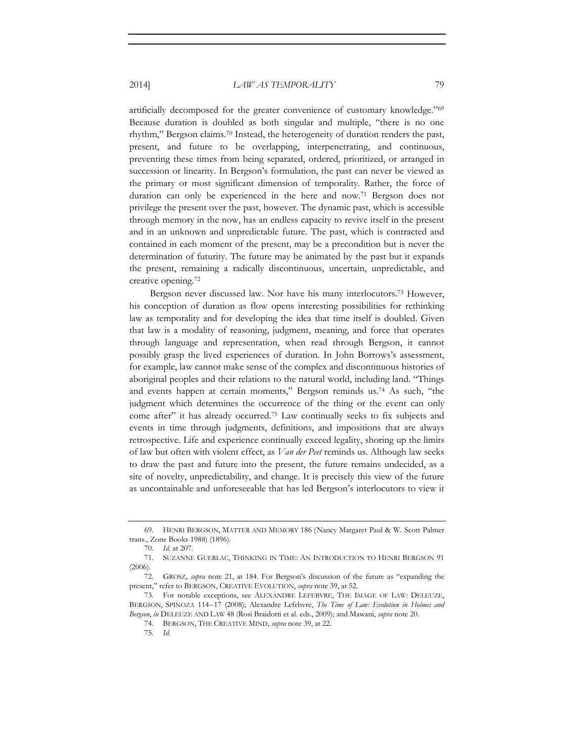artificially decomposed for the greater convenience of customary knowledge."69 Because duration is doubled as both singular and multiple, "there is no one rhythm," Bergson claims.70 Instead, the heterogeneity of duration renders the past, present, and future to be overlapping, interpenetrating, and continuous, preventing these times from being separated, ordered, prioritized, or arranged in succession or linearity. In Bergson's formulation, the past can never be viewed as the primary or most significant dimension of temporality. Rather, the force of duration can only be experienced in the here and now.71 Bergson does not privilege the present over the past, however. The dynamic past, which is accessible through memory in the now, has an endless capacity to revive itself in the present and in an unknown and unpredictable future. The past, which is contracted and contained in each moment of the present, may be a precondition but is never the determination of futurity. The future may be animated by the past but it expands the present, remaining a radically discontinuous, uncertain, unpredictable, and creative opening.72

Bergson never discussed law. Nor have his many interlocutors.73 However, his conception of duration as flow opens interesting possibilities for rethinking law as temporality and for developing the idea that time itself is doubled. Given that law is a modality of reasoning, judgment, meaning, and force that operates through language and representation, when read through Bergson, it cannot possibly grasp the lived experiences of duration. In John Borrows's assessment, for example, law cannot make sense of the complex and discontinuous histories of aboriginal peoples and their relations to the natural world, including land. "Things and events happen at certain moments," Bergson reminds us.74 As such, "the judgment which determines the occurrence of the thing or the event can only come after" it has already occurred.75 Law continually seeks to fix subjects and events in time through judgments, definitions, and impositions that are always retrospective. Life and experience continually exceed legality, shoring up the limits of law but often with violent effect, as *Van der Peet* reminds us. Although law seeks to draw the past and future into the present, the future remains undecided, as a site of novelty, unpredictability, and change. It is precisely this view of the future as uncontainable and unforeseeable that has led Bergson's interlocutors to view it

74. BERGSON, THE CREATIVE MIND, *supra* note 39, at 22.

<sup>69.</sup> HENRI BERGSON, MATTER AND MEMORY 186 (Nancy Margaret Paul & W. Scott Palmer trans., Zone Books 1988) (1896).

<sup>70.</sup> *Id.* at 207.

<sup>71.</sup> SUZANNE GUERLAC, THINKING IN TIME: AN INTRODUCTION TO HENRI BERGSON 91 (2006).

<sup>72.</sup> GROSZ, *supra* note 21, at 184. For Bergson's discussion of the future as "expanding the present," refer to BERGSON, CREATIVE EVOLUTION, *supra* note 39, at 52.

<sup>73.</sup> For notable exceptions, see ALEXANDRE LEFEBVRE, THE IMAGE OF LAW: DELEUZE, BERGSON, SPINOZA 114–17 (2008); Alexandre Lefebvre, *The Time of Law: Evolution in Holmes and Bergson*, *in* DELEUZE AND LAW 48 (Rosi Braidotti et al. eds., 2009); and Mawani, *supra* note 20.

<sup>75.</sup> *Id.*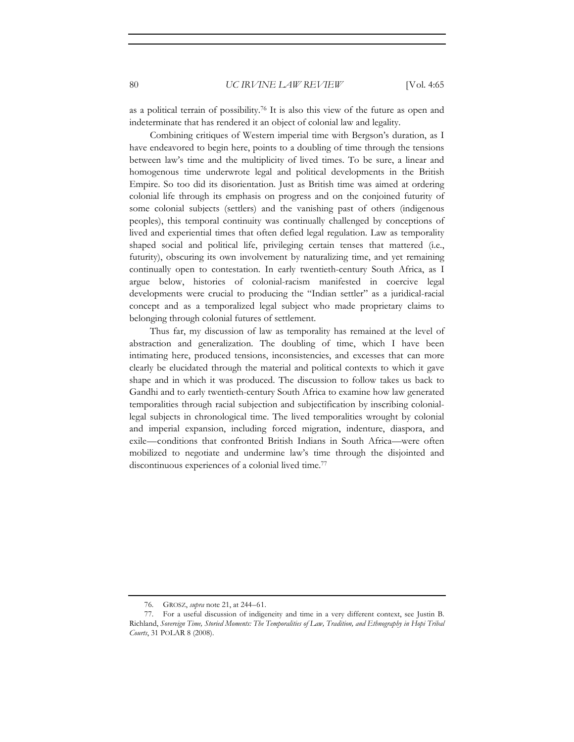as a political terrain of possibility.76 It is also this view of the future as open and indeterminate that has rendered it an object of colonial law and legality.

Combining critiques of Western imperial time with Bergson's duration, as I have endeavored to begin here, points to a doubling of time through the tensions between law's time and the multiplicity of lived times. To be sure, a linear and homogenous time underwrote legal and political developments in the British Empire. So too did its disorientation. Just as British time was aimed at ordering colonial life through its emphasis on progress and on the conjoined futurity of some colonial subjects (settlers) and the vanishing past of others (indigenous peoples), this temporal continuity was continually challenged by conceptions of lived and experiential times that often defied legal regulation. Law as temporality shaped social and political life, privileging certain tenses that mattered (i.e., futurity), obscuring its own involvement by naturalizing time, and yet remaining continually open to contestation. In early twentieth-century South Africa, as I argue below, histories of colonial-racism manifested in coercive legal developments were crucial to producing the "Indian settler" as a juridical-racial concept and as a temporalized legal subject who made proprietary claims to belonging through colonial futures of settlement.

Thus far, my discussion of law as temporality has remained at the level of abstraction and generalization. The doubling of time, which I have been intimating here, produced tensions, inconsistencies, and excesses that can more clearly be elucidated through the material and political contexts to which it gave shape and in which it was produced. The discussion to follow takes us back to Gandhi and to early twentieth-century South Africa to examine how law generated temporalities through racial subjection and subjectification by inscribing coloniallegal subjects in chronological time. The lived temporalities wrought by colonial and imperial expansion, including forced migration, indenture, diaspora, and exile—conditions that confronted British Indians in South Africa—were often mobilized to negotiate and undermine law's time through the disjointed and discontinuous experiences of a colonial lived time.77

<sup>76.</sup> GROSZ, *supra* note 21, at 244–61.

<sup>77.</sup> For a useful discussion of indigeneity and time in a very different context, see Justin B. Richland, *Sovereign Time, Storied Moments: The Temporalities of Law, Tradition, and Ethnography in Hopi Tribal Courts*, 31 POLAR 8 (2008).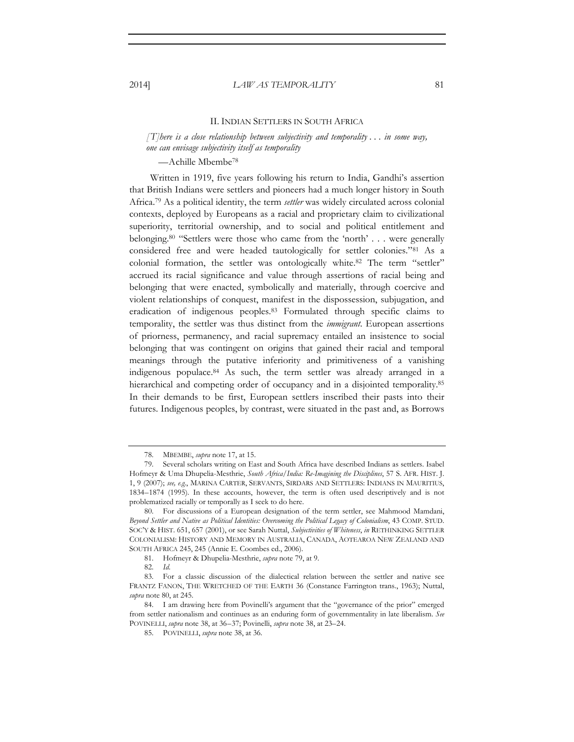### II. INDIAN SETTLERS IN SOUTH AFRICA

*[T]here is a close relationship between subjectivity and temporality . . . in some way, one can envisage subjectivity itself as temporality* 

—Achille Mbembe78

Written in 1919, five years following his return to India, Gandhi's assertion that British Indians were settlers and pioneers had a much longer history in South Africa.79 As a political identity, the term *settler* was widely circulated across colonial contexts, deployed by Europeans as a racial and proprietary claim to civilizational superiority, territorial ownership, and to social and political entitlement and belonging.80 "Settlers were those who came from the 'north' . . . were generally considered free and were headed tautologically for settler colonies."81 As a colonial formation, the settler was ontologically white. $82$  The term "settler" accrued its racial significance and value through assertions of racial being and belonging that were enacted, symbolically and materially, through coercive and violent relationships of conquest, manifest in the dispossession, subjugation, and eradication of indigenous peoples.83 Formulated through specific claims to temporality, the settler was thus distinct from the *immigrant*. European assertions of priorness, permanency, and racial supremacy entailed an insistence to social belonging that was contingent on origins that gained their racial and temporal meanings through the putative inferiority and primitiveness of a vanishing indigenous populace.84 As such, the term settler was already arranged in a hierarchical and competing order of occupancy and in a disjointed temporality.<sup>85</sup> In their demands to be first, European settlers inscribed their pasts into their futures. Indigenous peoples, by contrast, were situated in the past and, as Borrows

<sup>78.</sup> MBEMBE, *supra* note 17, at 15.

<sup>79.</sup> Several scholars writing on East and South Africa have described Indians as settlers. Isabel Hofmeyr & Uma Dhupelia-Mesthrie, *South Africa/India: Re-Imagining the Disciplines*, 57 S. AFR. HIST. J. 1, 9 (2007); *see, e.g.*, MARINA CARTER, SERVANTS, SIRDARS AND SETTLERS: INDIANS IN MAURITIUS, 1834–1874 (1995). In these accounts, however, the term is often used descriptively and is not problematized racially or temporally as I seek to do here.

<sup>80.</sup> For discussions of a European designation of the term settler, see Mahmood Mamdani, *Beyond Settler and Native as Political Identities: Overcoming the Political Legacy of Colonialism*, 43 COMP. STUD. SOC'Y & HIST. 651, 657 (2001), or see Sarah Nuttal, *Subjectivities of Whiteness*, *in* RETHINKING SETTLER COLONIALISM: HISTORY AND MEMORY IN AUSTRALIA, CANADA, AOTEAROA NEW ZEALAND AND SOUTH AFRICA 245, 245 (Annie E. Coombes ed., 2006).

<sup>81.</sup> Hofmeyr & Dhupelia-Mesthrie, *supra* note 79, at 9.

<sup>82.</sup> *Id.*

<sup>83.</sup> For a classic discussion of the dialectical relation between the settler and native see FRANTZ FANON, THE WRETCHED OF THE EARTH 36 (Constance Farrington trans., 1963); Nuttal, *supra* note 80, at 245.

<sup>84.</sup> I am drawing here from Povinelli's argument that the "governance of the prior" emerged from settler nationalism and continues as an enduring form of governmentality in late liberalism. *See* POVINELLI, *supra* note 38, at 36–37; Povinelli, *supra* note 38, at 23–24.

<sup>85.</sup> POVINELLI, *supra* note 38, at 36.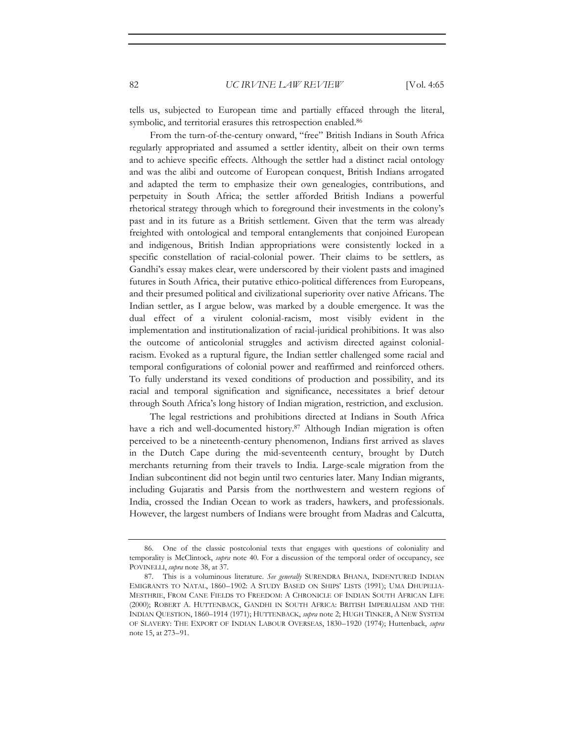tells us, subjected to European time and partially effaced through the literal, symbolic, and territorial erasures this retrospection enabled.86

From the turn-of-the-century onward, "free" British Indians in South Africa regularly appropriated and assumed a settler identity, albeit on their own terms and to achieve specific effects. Although the settler had a distinct racial ontology and was the alibi and outcome of European conquest, British Indians arrogated and adapted the term to emphasize their own genealogies, contributions, and perpetuity in South Africa; the settler afforded British Indians a powerful rhetorical strategy through which to foreground their investments in the colony's past and in its future as a British settlement. Given that the term was already freighted with ontological and temporal entanglements that conjoined European and indigenous, British Indian appropriations were consistently locked in a specific constellation of racial-colonial power. Their claims to be settlers, as Gandhi's essay makes clear, were underscored by their violent pasts and imagined futures in South Africa, their putative ethico-political differences from Europeans, and their presumed political and civilizational superiority over native Africans. The Indian settler, as I argue below, was marked by a double emergence. It was the dual effect of a virulent colonial-racism, most visibly evident in the implementation and institutionalization of racial-juridical prohibitions. It was also the outcome of anticolonial struggles and activism directed against colonialracism. Evoked as a ruptural figure, the Indian settler challenged some racial and temporal configurations of colonial power and reaffirmed and reinforced others. To fully understand its vexed conditions of production and possibility, and its racial and temporal signification and significance, necessitates a brief detour through South Africa's long history of Indian migration, restriction, and exclusion.

The legal restrictions and prohibitions directed at Indians in South Africa have a rich and well-documented history.<sup>87</sup> Although Indian migration is often perceived to be a nineteenth-century phenomenon, Indians first arrived as slaves in the Dutch Cape during the mid-seventeenth century, brought by Dutch merchants returning from their travels to India. Large-scale migration from the Indian subcontinent did not begin until two centuries later. Many Indian migrants, including Gujaratis and Parsis from the northwestern and western regions of India, crossed the Indian Ocean to work as traders, hawkers, and professionals. However, the largest numbers of Indians were brought from Madras and Calcutta,

<sup>86.</sup> One of the classic postcolonial texts that engages with questions of coloniality and temporality is McClintock, *supra* note 40. For a discussion of the temporal order of occupancy, see POVINELLI, *supra* note 38, at 37.

<sup>87.</sup> This is a voluminous literature. *See generally* SURENDRA BHANA, INDENTURED INDIAN EMIGRANTS TO NATAL, 1860–1902: A STUDY BASED ON SHIPS' LISTS (1991); UMA DHUPELIA-MESTHRIE, FROM CANE FIELDS TO FREEDOM: A CHRONICLE OF INDIAN SOUTH AFRICAN LIFE (2000); ROBERT A. HUTTENBACK, GANDHI IN SOUTH AFRICA: BRITISH IMPERIALISM AND THE INDIAN QUESTION, 1860–1914 (1971); HUTTENBACK, *supra* note 2; HUGH TINKER, A NEW SYSTEM OF SLAVERY: THE EXPORT OF INDIAN LABOUR OVERSEAS, 1830–1920 (1974); Huttenback, *supra* note 15, at 273–91.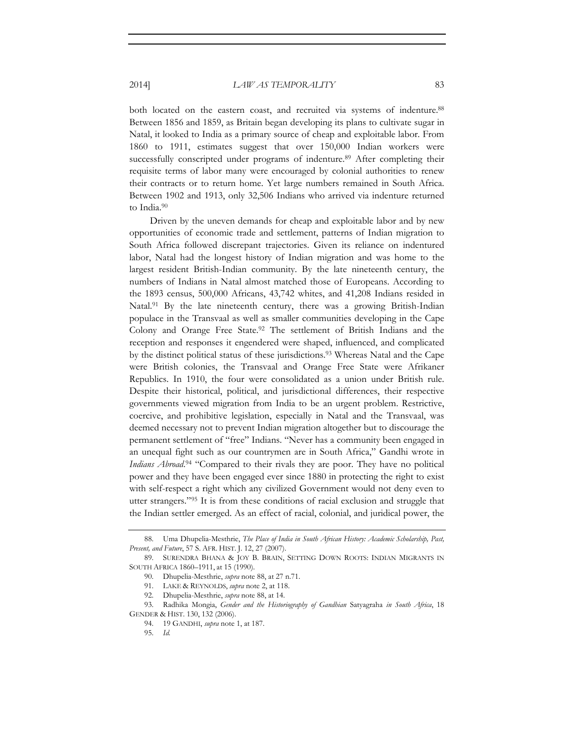both located on the eastern coast, and recruited via systems of indenture.<sup>88</sup> Between 1856 and 1859, as Britain began developing its plans to cultivate sugar in Natal, it looked to India as a primary source of cheap and exploitable labor. From 1860 to 1911, estimates suggest that over 150,000 Indian workers were successfully conscripted under programs of indenture.<sup>89</sup> After completing their requisite terms of labor many were encouraged by colonial authorities to renew their contracts or to return home. Yet large numbers remained in South Africa. Between 1902 and 1913, only 32,506 Indians who arrived via indenture returned to India.90

Driven by the uneven demands for cheap and exploitable labor and by new opportunities of economic trade and settlement, patterns of Indian migration to South Africa followed discrepant trajectories. Given its reliance on indentured labor, Natal had the longest history of Indian migration and was home to the largest resident British-Indian community. By the late nineteenth century, the numbers of Indians in Natal almost matched those of Europeans. According to the 1893 census, 500,000 Africans, 43,742 whites, and 41,208 Indians resided in Natal.<sup>91</sup> By the late nineteenth century, there was a growing British-Indian populace in the Transvaal as well as smaller communities developing in the Cape Colony and Orange Free State.92 The settlement of British Indians and the reception and responses it engendered were shaped, influenced, and complicated by the distinct political status of these jurisdictions.<sup>93</sup> Whereas Natal and the Cape were British colonies, the Transvaal and Orange Free State were Afrikaner Republics. In 1910, the four were consolidated as a union under British rule. Despite their historical, political, and jurisdictional differences, their respective governments viewed migration from India to be an urgent problem. Restrictive, coercive, and prohibitive legislation, especially in Natal and the Transvaal, was deemed necessary not to prevent Indian migration altogether but to discourage the permanent settlement of "free" Indians. "Never has a community been engaged in an unequal fight such as our countrymen are in South Africa," Gandhi wrote in *Indians Abroad*. 94 "Compared to their rivals they are poor. They have no political power and they have been engaged ever since 1880 in protecting the right to exist with self-respect a right which any civilized Government would not deny even to utter strangers."95 It is from these conditions of racial exclusion and struggle that the Indian settler emerged. As an effect of racial, colonial, and juridical power, the

<sup>88.</sup> Uma Dhupelia-Mesthrie, *The Place of India in South African History: Academic Scholarship, Past, Present, and Future*, 57 S. AFR. HIST. J. 12, 27 (2007).

<sup>89.</sup> SURENDRA BHANA & JOY B. BRAIN, SETTING DOWN ROOTS: INDIAN MIGRANTS IN SOUTH AFRICA 1860–1911, at 15 (1990).

<sup>90.</sup> Dhupelia-Mesthrie, *supra* note 88, at 27 n.71.

<sup>91.</sup> LAKE & REYNOLDS, *supra* note 2, at 118.

<sup>92.</sup> Dhupelia-Mesthrie, *supra* note 88, at 14.

<sup>93.</sup> Radhika Mongia, *Gender and the Historiography of Gandhian* Satyagraha *in South Africa*, 18 GENDER & HIST. 130, 132 (2006).

<sup>94. 19</sup> GANDHI, *supra* note 1, at 187.

<sup>95.</sup> *Id.*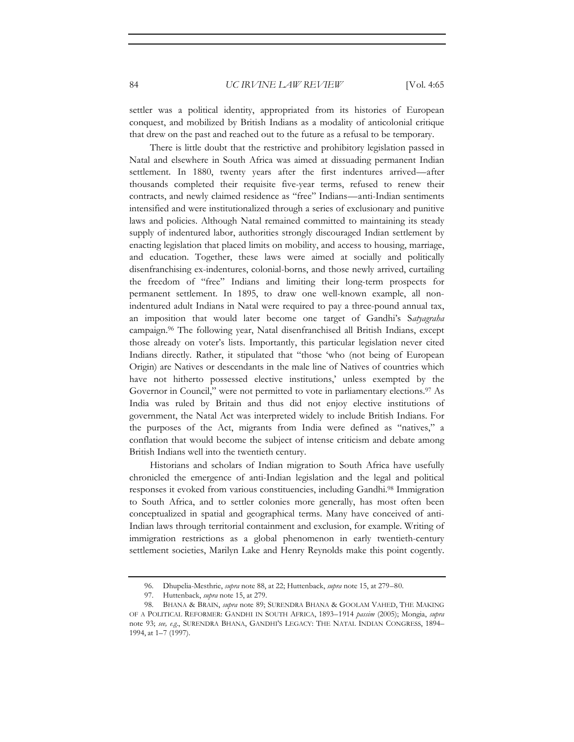settler was a political identity, appropriated from its histories of European conquest, and mobilized by British Indians as a modality of anticolonial critique that drew on the past and reached out to the future as a refusal to be temporary.

There is little doubt that the restrictive and prohibitory legislation passed in Natal and elsewhere in South Africa was aimed at dissuading permanent Indian settlement. In 1880, twenty years after the first indentures arrived—after thousands completed their requisite five-year terms, refused to renew their contracts, and newly claimed residence as "free" Indians—anti-Indian sentiments intensified and were institutionalized through a series of exclusionary and punitive laws and policies. Although Natal remained committed to maintaining its steady supply of indentured labor, authorities strongly discouraged Indian settlement by enacting legislation that placed limits on mobility, and access to housing, marriage, and education. Together, these laws were aimed at socially and politically disenfranchising ex-indentures, colonial-borns, and those newly arrived, curtailing the freedom of "free" Indians and limiting their long-term prospects for permanent settlement. In 1895, to draw one well-known example, all nonindentured adult Indians in Natal were required to pay a three-pound annual tax, an imposition that would later become one target of Gandhi's S*atyagraha* campaign.96 The following year, Natal disenfranchised all British Indians, except those already on voter's lists. Importantly, this particular legislation never cited Indians directly. Rather, it stipulated that "those 'who (not being of European Origin) are Natives or descendants in the male line of Natives of countries which have not hitherto possessed elective institutions,' unless exempted by the Governor in Council," were not permitted to vote in parliamentary elections.<sup>97</sup> As India was ruled by Britain and thus did not enjoy elective institutions of government, the Natal Act was interpreted widely to include British Indians. For the purposes of the Act, migrants from India were defined as "natives," a conflation that would become the subject of intense criticism and debate among British Indians well into the twentieth century.

Historians and scholars of Indian migration to South Africa have usefully chronicled the emergence of anti-Indian legislation and the legal and political responses it evoked from various constituencies, including Gandhi.98 Immigration to South Africa, and to settler colonies more generally, has most often been conceptualized in spatial and geographical terms. Many have conceived of anti-Indian laws through territorial containment and exclusion, for example. Writing of immigration restrictions as a global phenomenon in early twentieth-century settlement societies, Marilyn Lake and Henry Reynolds make this point cogently.

<sup>96.</sup> Dhupelia-Mesthrie, *supra* note 88, at 22; Huttenback, *supra* note 15, at 279–80.

<sup>97.</sup> Huttenback, *supra* note 15, at 279.

<sup>98.</sup> BHANA & BRAIN, *supra* note 89; SURENDRA BHANA & GOOLAM VAHED, THE MAKING OF A POLITICAL REFORMER: GANDHI IN SOUTH AFRICA, 1893–1914 *passim* (2005); Mongia, *supra* note 93; *see, e*.*g*., SURENDRA BHANA, GANDHI'S LEGACY: THE NATAL INDIAN CONGRESS, 1894– 1994, at 1–7 (1997).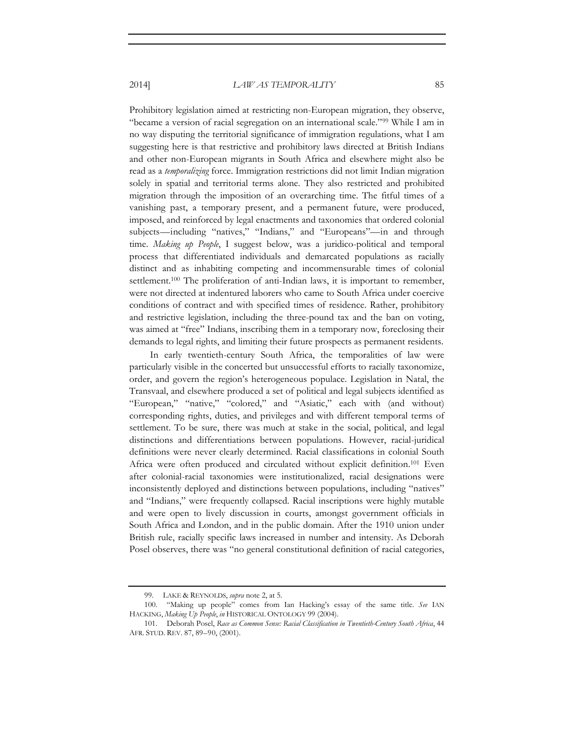Prohibitory legislation aimed at restricting non-European migration, they observe, "became a version of racial segregation on an international scale."99 While I am in no way disputing the territorial significance of immigration regulations, what I am suggesting here is that restrictive and prohibitory laws directed at British Indians and other non-European migrants in South Africa and elsewhere might also be read as a *temporalizing* force. Immigration restrictions did not limit Indian migration solely in spatial and territorial terms alone. They also restricted and prohibited migration through the imposition of an overarching time. The fitful times of a vanishing past, a temporary present, and a permanent future, were produced, imposed, and reinforced by legal enactments and taxonomies that ordered colonial subjects—including "natives," "Indians," and "Europeans"—in and through time. *Making up People*, I suggest below, was a juridico-political and temporal process that differentiated individuals and demarcated populations as racially distinct and as inhabiting competing and incommensurable times of colonial settlement.100 The proliferation of anti-Indian laws, it is important to remember, were not directed at indentured laborers who came to South Africa under coercive conditions of contract and with specified times of residence. Rather, prohibitory and restrictive legislation, including the three-pound tax and the ban on voting, was aimed at "free" Indians, inscribing them in a temporary now, foreclosing their demands to legal rights, and limiting their future prospects as permanent residents.

In early twentieth-century South Africa, the temporalities of law were particularly visible in the concerted but unsuccessful efforts to racially taxonomize, order, and govern the region's heterogeneous populace. Legislation in Natal, the Transvaal, and elsewhere produced a set of political and legal subjects identified as "European," "native," "colored," and "Asiatic," each with (and without) corresponding rights, duties, and privileges and with different temporal terms of settlement. To be sure, there was much at stake in the social, political, and legal distinctions and differentiations between populations. However, racial-juridical definitions were never clearly determined. Racial classifications in colonial South Africa were often produced and circulated without explicit definition.<sup>101</sup> Even after colonial-racial taxonomies were institutionalized, racial designations were inconsistently deployed and distinctions between populations, including "natives" and "Indians," were frequently collapsed. Racial inscriptions were highly mutable and were open to lively discussion in courts, amongst government officials in South Africa and London, and in the public domain. After the 1910 union under British rule, racially specific laws increased in number and intensity. As Deborah Posel observes, there was "no general constitutional definition of racial categories,

<sup>99.</sup> LAKE & REYNOLDS, *supra* note 2, at 5.

<sup>100. &</sup>quot;Making up people" comes from Ian Hacking's essay of the same title. *See* IAN HACKING, *Making Up People*, *in* HISTORICAL ONTOLOGY 99 (2004).

<sup>101.</sup> Deborah Posel, *Race as Common Sense: Racial Classification in Twentieth-Century South Africa*, 44 AFR. STUD. REV. 87, 89–90, (2001).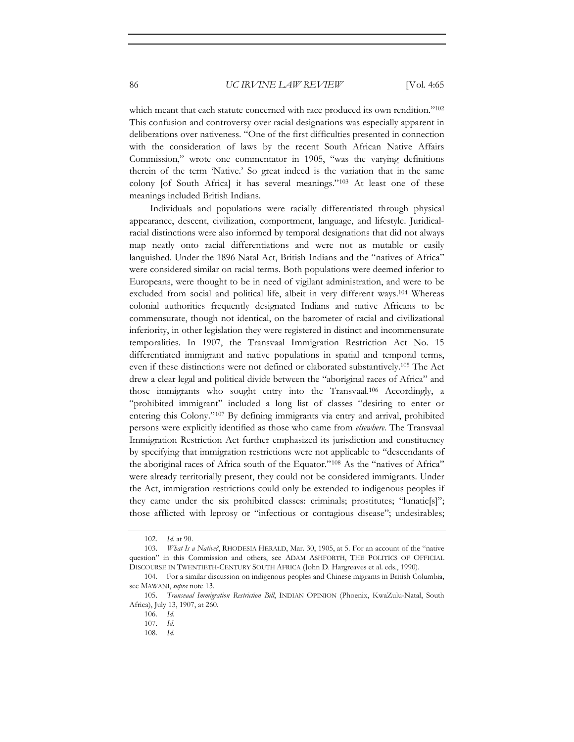which meant that each statute concerned with race produced its own rendition."<sup>102</sup> This confusion and controversy over racial designations was especially apparent in deliberations over nativeness. "One of the first difficulties presented in connection with the consideration of laws by the recent South African Native Affairs Commission," wrote one commentator in 1905, "was the varying definitions therein of the term 'Native.' So great indeed is the variation that in the same colony [of South Africa] it has several meanings."103 At least one of these meanings included British Indians.

Individuals and populations were racially differentiated through physical appearance, descent, civilization, comportment, language, and lifestyle. Juridicalracial distinctions were also informed by temporal designations that did not always map neatly onto racial differentiations and were not as mutable or easily languished. Under the 1896 Natal Act, British Indians and the "natives of Africa" were considered similar on racial terms. Both populations were deemed inferior to Europeans, were thought to be in need of vigilant administration, and were to be excluded from social and political life, albeit in very different ways.104 Whereas colonial authorities frequently designated Indians and native Africans to be commensurate, though not identical, on the barometer of racial and civilizational inferiority, in other legislation they were registered in distinct and incommensurate temporalities. In 1907, the Transvaal Immigration Restriction Act No. 15 differentiated immigrant and native populations in spatial and temporal terms, even if these distinctions were not defined or elaborated substantively.105 The Act drew a clear legal and political divide between the "aboriginal races of Africa" and those immigrants who sought entry into the Transvaal.106 Accordingly, a "prohibited immigrant" included a long list of classes "desiring to enter or entering this Colony."107 By defining immigrants via entry and arrival, prohibited persons were explicitly identified as those who came from *elsewhere.* The Transvaal Immigration Restriction Act further emphasized its jurisdiction and constituency by specifying that immigration restrictions were not applicable to "descendants of the aboriginal races of Africa south of the Equator."108 As the "natives of Africa" were already territorially present, they could not be considered immigrants. Under the Act, immigration restrictions could only be extended to indigenous peoples if they came under the six prohibited classes: criminals; prostitutes; "lunatic[s]"; those afflicted with leprosy or "infectious or contagious disease"; undesirables;

<sup>102.</sup> *Id.* at 90.

<sup>103.</sup> *What Is a Native?*, RHODESIA HERALD, Mar. 30, 1905, at 5. For an account of the "native question" in this Commission and others, see ADAM ASHFORTH, THE POLITICS OF OFFICIAL DISCOURSE IN TWENTIETH-CENTURY SOUTH AFRICA (John D. Hargreaves et al. eds., 1990).

<sup>104.</sup> For a similar discussion on indigenous peoples and Chinese migrants in British Columbia, see MAWANI, *supra* note 13.

<sup>105.</sup> *Transvaal Immigration Restriction Bill*, INDIAN OPINION (Phoenix, KwaZulu-Natal, South Africa), July 13, 1907, at 260.

<sup>106.</sup> *Id.*

<sup>107.</sup> *Id.*

<sup>108.</sup> *Id.*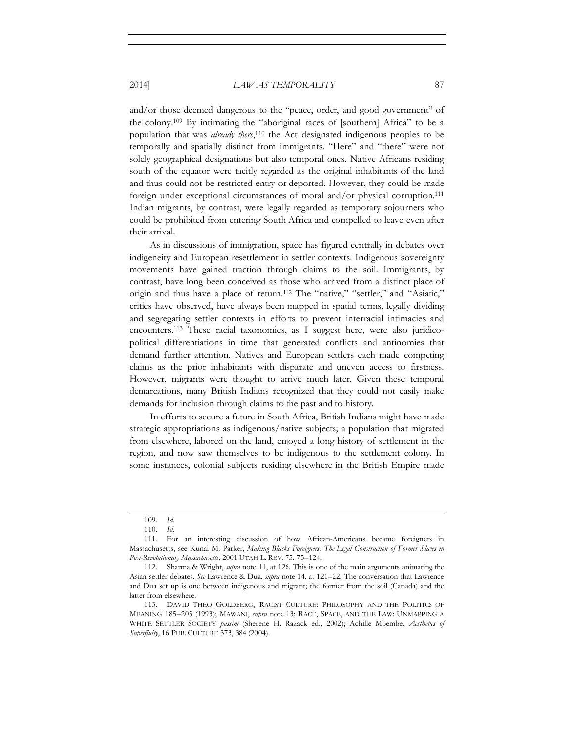and/or those deemed dangerous to the "peace, order, and good government" of the colony.109 By intimating the "aboriginal races of [southern] Africa" to be a population that was *already there*, 110 the Act designated indigenous peoples to be temporally and spatially distinct from immigrants. "Here" and "there" were not solely geographical designations but also temporal ones. Native Africans residing south of the equator were tacitly regarded as the original inhabitants of the land and thus could not be restricted entry or deported. However, they could be made foreign under exceptional circumstances of moral and/or physical corruption.<sup>111</sup> Indian migrants, by contrast, were legally regarded as temporary sojourners who could be prohibited from entering South Africa and compelled to leave even after their arrival.

As in discussions of immigration, space has figured centrally in debates over indigeneity and European resettlement in settler contexts. Indigenous sovereignty movements have gained traction through claims to the soil. Immigrants, by contrast, have long been conceived as those who arrived from a distinct place of origin and thus have a place of return.112 The "native," "settler," and "Asiatic," critics have observed, have always been mapped in spatial terms, legally dividing and segregating settler contexts in efforts to prevent interracial intimacies and encounters.113 These racial taxonomies, as I suggest here, were also juridicopolitical differentiations in time that generated conflicts and antinomies that demand further attention. Natives and European settlers each made competing claims as the prior inhabitants with disparate and uneven access to firstness. However, migrants were thought to arrive much later. Given these temporal demarcations, many British Indians recognized that they could not easily make demands for inclusion through claims to the past and to history.

In efforts to secure a future in South Africa, British Indians might have made strategic appropriations as indigenous/native subjects; a population that migrated from elsewhere, labored on the land, enjoyed a long history of settlement in the region, and now saw themselves to be indigenous to the settlement colony. In some instances, colonial subjects residing elsewhere in the British Empire made

<sup>109.</sup> *Id.*

<sup>110.</sup> *Id.*

<sup>111.</sup> For an interesting discussion of how African-Americans became foreigners in Massachusetts, see Kunal M. Parker, *Making Blacks Foreigners: The Legal Construction of Former Slaves in Post-Revolutionary Massachusetts*, 2001 UTAH L. REV. 75, 75–124.

<sup>112.</sup> Sharma & Wright, *supra* note 11, at 126. This is one of the main arguments animating the Asian settler debates. *See* Lawrence & Dua, *supra* note 14, at 121–22. The conversation that Lawrence and Dua set up is one between indigenous and migrant; the former from the soil (Canada) and the latter from elsewhere.

<sup>113.</sup> DAVID THEO GOLDBERG, RACIST CULTURE: PHILOSOPHY AND THE POLITICS OF MEANING 185–205 (1993); MAWANI, *supra* note 13; RACE, SPACE, AND THE LAW: UNMAPPING A WHITE SETTLER SOCIETY *passim* (Sherene H. Razack ed., 2002); Achille Mbembe, *Aesthetics of Superfluity*, 16 PUB. CULTURE 373, 384 (2004).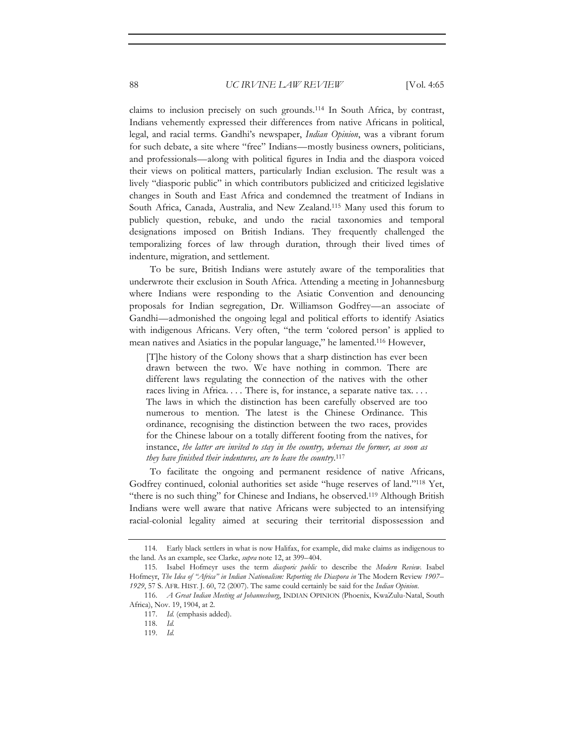claims to inclusion precisely on such grounds.114 In South Africa, by contrast, Indians vehemently expressed their differences from native Africans in political, legal, and racial terms. Gandhi's newspaper, *Indian Opinion*, was a vibrant forum for such debate, a site where "free" Indians—mostly business owners, politicians, and professionals—along with political figures in India and the diaspora voiced their views on political matters, particularly Indian exclusion. The result was a lively "diasporic public" in which contributors publicized and criticized legislative changes in South and East Africa and condemned the treatment of Indians in South Africa, Canada, Australia, and New Zealand.115 Many used this forum to publicly question, rebuke, and undo the racial taxonomies and temporal designations imposed on British Indians. They frequently challenged the temporalizing forces of law through duration, through their lived times of indenture, migration, and settlement.

To be sure, British Indians were astutely aware of the temporalities that underwrote their exclusion in South Africa. Attending a meeting in Johannesburg where Indians were responding to the Asiatic Convention and denouncing proposals for Indian segregation, Dr. Williamson Godfrey—an associate of Gandhi—admonished the ongoing legal and political efforts to identify Asiatics with indigenous Africans. Very often, "the term 'colored person' is applied to mean natives and Asiatics in the popular language," he lamented.116 However,

[T]he history of the Colony shows that a sharp distinction has ever been drawn between the two. We have nothing in common. There are different laws regulating the connection of the natives with the other races living in Africa. . . . There is, for instance, a separate native tax. . . . The laws in which the distinction has been carefully observed are too numerous to mention. The latest is the Chinese Ordinance. This ordinance, recognising the distinction between the two races, provides for the Chinese labour on a totally different footing from the natives, for instance, *the latter are invited to stay in the country, whereas the former, as soon as they have finished their indentures, are to leave the country*. 117

To facilitate the ongoing and permanent residence of native Africans, Godfrey continued, colonial authorities set aside "huge reserves of land."118 Yet, "there is no such thing" for Chinese and Indians, he observed.119 Although British Indians were well aware that native Africans were subjected to an intensifying racial-colonial legality aimed at securing their territorial dispossession and

<sup>114.</sup> Early black settlers in what is now Halifax, for example, did make claims as indigenous to the land. As an example, see Clarke, *supra* note 12, at 399–404.

<sup>115.</sup> Isabel Hofmeyr uses the term *diasporic public* to describe the *Modern Review*. Isabel Hofmeyr, *The Idea of "Africa" in Indian Nationalism: Reporting the Diaspora in* The Modern Review *1907– 1929*, 57 S. AFR. HIST. J. 60, 72 (2007). The same could certainly be said for the *Indian Opinion*.

<sup>116.</sup> *A Great Indian Meeting at Johannesburg*, INDIAN OPINION (Phoenix, KwaZulu-Natal, South Africa), Nov. 19, 1904, at 2.

<sup>117.</sup> *Id.* (emphasis added).

<sup>118.</sup> *Id.*

<sup>119.</sup> *Id.*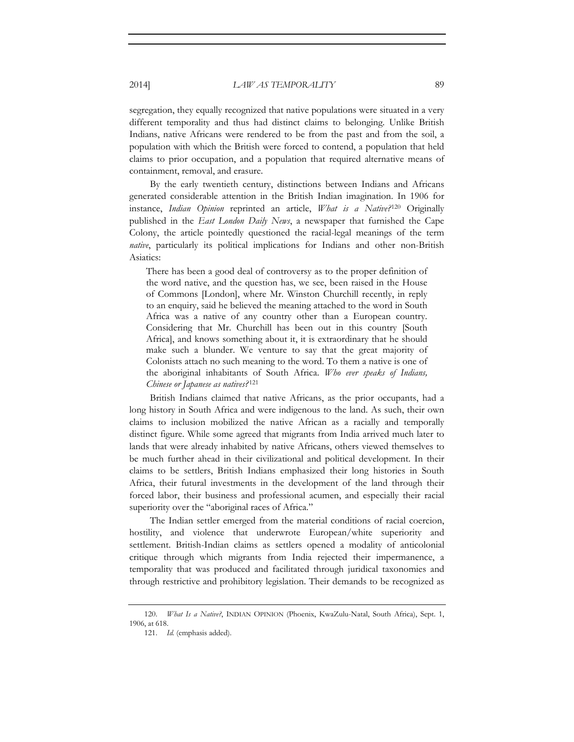segregation, they equally recognized that native populations were situated in a very different temporality and thus had distinct claims to belonging. Unlike British Indians, native Africans were rendered to be from the past and from the soil, a population with which the British were forced to contend, a population that held claims to prior occupation, and a population that required alternative means of containment, removal, and erasure.

By the early twentieth century, distinctions between Indians and Africans generated considerable attention in the British Indian imagination. In 1906 for instance, *Indian Opinion* reprinted an article, *What is a Native?*120 Originally published in the *East London Daily News*, a newspaper that furnished the Cape Colony, the article pointedly questioned the racial-legal meanings of the term *native*, particularly its political implications for Indians and other non-British Asiatics:

There has been a good deal of controversy as to the proper definition of the word native, and the question has, we see, been raised in the House of Commons [London], where Mr. Winston Churchill recently, in reply to an enquiry, said he believed the meaning attached to the word in South Africa was a native of any country other than a European country. Considering that Mr. Churchill has been out in this country [South Africa], and knows something about it, it is extraordinary that he should make such a blunder. We venture to say that the great majority of Colonists attach no such meaning to the word. To them a native is one of the aboriginal inhabitants of South Africa. *Who ever speaks of Indians, Chinese or Japanese as natives?* <sup>121</sup>

British Indians claimed that native Africans, as the prior occupants, had a long history in South Africa and were indigenous to the land. As such, their own claims to inclusion mobilized the native African as a racially and temporally distinct figure. While some agreed that migrants from India arrived much later to lands that were already inhabited by native Africans, others viewed themselves to be much further ahead in their civilizational and political development. In their claims to be settlers, British Indians emphasized their long histories in South Africa, their futural investments in the development of the land through their forced labor, their business and professional acumen, and especially their racial superiority over the "aboriginal races of Africa."

The Indian settler emerged from the material conditions of racial coercion, hostility, and violence that underwrote European/white superiority and settlement. British-Indian claims as settlers opened a modality of anticolonial critique through which migrants from India rejected their impermanence, a temporality that was produced and facilitated through juridical taxonomies and through restrictive and prohibitory legislation. Their demands to be recognized as

<sup>120.</sup> *What Is a Native?*, INDIAN OPINION (Phoenix, KwaZulu-Natal, South Africa), Sept. 1, 1906, at 618.

<sup>121.</sup> *Id.* (emphasis added).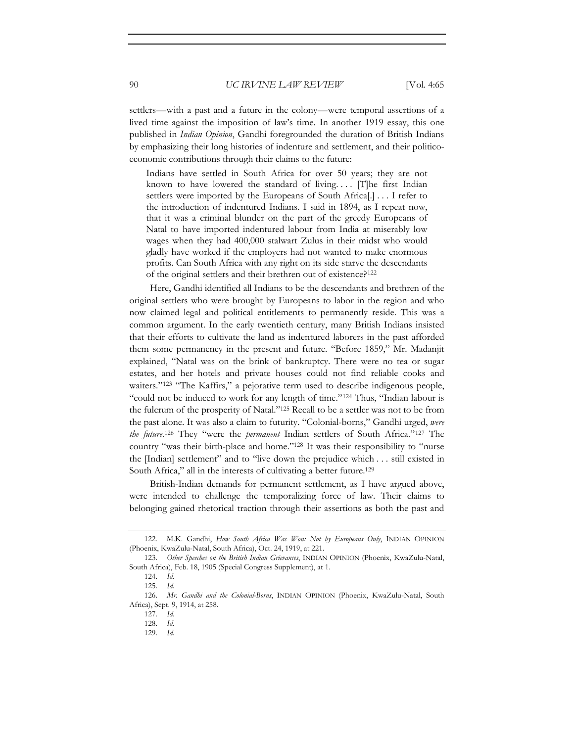settlers—with a past and a future in the colony—were temporal assertions of a lived time against the imposition of law's time. In another 1919 essay, this one published in *Indian Opinion*, Gandhi foregrounded the duration of British Indians by emphasizing their long histories of indenture and settlement, and their politicoeconomic contributions through their claims to the future:

Indians have settled in South Africa for over 50 years; they are not known to have lowered the standard of living....  $[T]$ he first Indian settlers were imported by the Europeans of South Africa[.] . . . I refer to the introduction of indentured Indians. I said in 1894, as I repeat now, that it was a criminal blunder on the part of the greedy Europeans of Natal to have imported indentured labour from India at miserably low wages when they had 400,000 stalwart Zulus in their midst who would gladly have worked if the employers had not wanted to make enormous profits. Can South Africa with any right on its side starve the descendants of the original settlers and their brethren out of existence?122

Here, Gandhi identified all Indians to be the descendants and brethren of the original settlers who were brought by Europeans to labor in the region and who now claimed legal and political entitlements to permanently reside. This was a common argument. In the early twentieth century, many British Indians insisted that their efforts to cultivate the land as indentured laborers in the past afforded them some permanency in the present and future. "Before 1859," Mr. Madanjit explained, "Natal was on the brink of bankruptcy. There were no tea or sugar estates, and her hotels and private houses could not find reliable cooks and waiters."<sup>123</sup> "The Kaffirs," a pejorative term used to describe indigenous people, "could not be induced to work for any length of time."124 Thus, "Indian labour is the fulcrum of the prosperity of Natal."125 Recall to be a settler was not to be from the past alone. It was also a claim to futurity. "Colonial-borns," Gandhi urged, *were the future*. 126 They "were the *permanent* Indian settlers of South Africa."127 The country "was their birth-place and home."128 It was their responsibility to "nurse the [Indian] settlement" and to "live down the prejudice which . . . still existed in South Africa," all in the interests of cultivating a better future.<sup>129</sup>

British-Indian demands for permanent settlement, as I have argued above, were intended to challenge the temporalizing force of law. Their claims to belonging gained rhetorical traction through their assertions as both the past and

<sup>122.</sup> M.K. Gandhi, *How South Africa Was Won: Not by Europeans Only*, INDIAN OPINION (Phoenix, KwaZulu-Natal, South Africa), Oct. 24, 1919, at 221.

<sup>123.</sup> *Other Speeches on the British Indian Grievances*, INDIAN OPINION (Phoenix, KwaZulu-Natal, South Africa), Feb. 18, 1905 (Special Congress Supplement), at 1.

<sup>124.</sup> *Id.*

<sup>125.</sup> *Id.*

<sup>126.</sup> *Mr*. *Gandhi and the Colonial-Borns*, INDIAN OPINION (Phoenix, KwaZulu-Natal, South Africa), Sept. 9, 1914, at 258.

<sup>127.</sup> *Id.*

<sup>128.</sup> *Id.*

<sup>129.</sup> *Id.*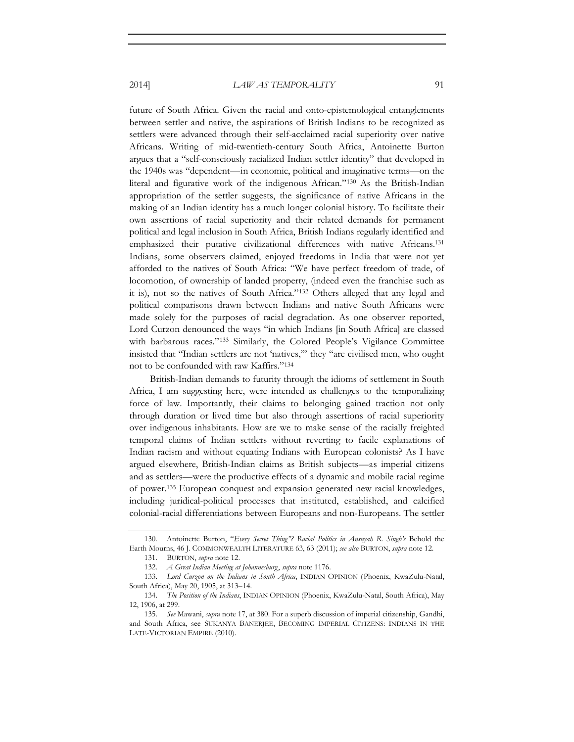future of South Africa. Given the racial and onto-epistemological entanglements between settler and native, the aspirations of British Indians to be recognized as settlers were advanced through their self-acclaimed racial superiority over native Africans. Writing of mid-twentieth-century South Africa, Antoinette Burton argues that a "self-consciously racialized Indian settler identity" that developed in the 1940s was "dependent—in economic, political and imaginative terms—on the literal and figurative work of the indigenous African."130 As the British-Indian appropriation of the settler suggests, the significance of native Africans in the making of an Indian identity has a much longer colonial history. To facilitate their own assertions of racial superiority and their related demands for permanent political and legal inclusion in South Africa, British Indians regularly identified and emphasized their putative civilizational differences with native Africans.131 Indians, some observers claimed, enjoyed freedoms in India that were not yet afforded to the natives of South Africa: "We have perfect freedom of trade, of locomotion, of ownership of landed property, (indeed even the franchise such as it is), not so the natives of South Africa."132 Others alleged that any legal and political comparisons drawn between Indians and native South Africans were made solely for the purposes of racial degradation. As one observer reported, Lord Curzon denounced the ways "in which Indians [in South Africa] are classed with barbarous races."133 Similarly, the Colored People's Vigilance Committee insisted that "Indian settlers are not 'natives,'" they "are civilised men, who ought not to be confounded with raw Kaffirs."134

British-Indian demands to futurity through the idioms of settlement in South Africa, I am suggesting here, were intended as challenges to the temporalizing force of law. Importantly, their claims to belonging gained traction not only through duration or lived time but also through assertions of racial superiority over indigenous inhabitants. How are we to make sense of the racially freighted temporal claims of Indian settlers without reverting to facile explanations of Indian racism and without equating Indians with European colonists? As I have argued elsewhere, British-Indian claims as British subjects—as imperial citizens and as settlers—were the productive effects of a dynamic and mobile racial regime of power.135 European conquest and expansion generated new racial knowledges, including juridical-political processes that instituted, established, and calcified colonial-racial differentiations between Europeans and non-Europeans. The settler

<sup>130.</sup> Antoinette Burton, "*Every Secret Thing"? Racial Politics in Ansuyah R*. *Singh's* Behold the Earth Mourns, 46 J. COMMONWEALTH LITERATURE 63, 63 (2011); *see also* BURTON, *supra* note 12.

<sup>131.</sup> BURTON, *supra* note 12.

<sup>132.</sup> *A Great Indian Meeting at Johannesburg*, *supra* note 1176.

<sup>133.</sup> *Lord Curzon on the Indians in South Africa*, INDIAN OPINION (Phoenix, KwaZulu-Natal, South Africa), May 20, 1905, at 313–14.

<sup>134.</sup> *The Position of the Indians*, INDIAN OPINION (Phoenix, KwaZulu-Natal, South Africa), May 12, 1906, at 299.

<sup>135.</sup> *See* Mawani, *supra* note 17, at 380. For a superb discussion of imperial citizenship, Gandhi, and South Africa, see SUKANYA BANERJEE, BECOMING IMPERIAL CITIZENS: INDIANS IN THE LATE-VICTORIAN EMPIRE (2010).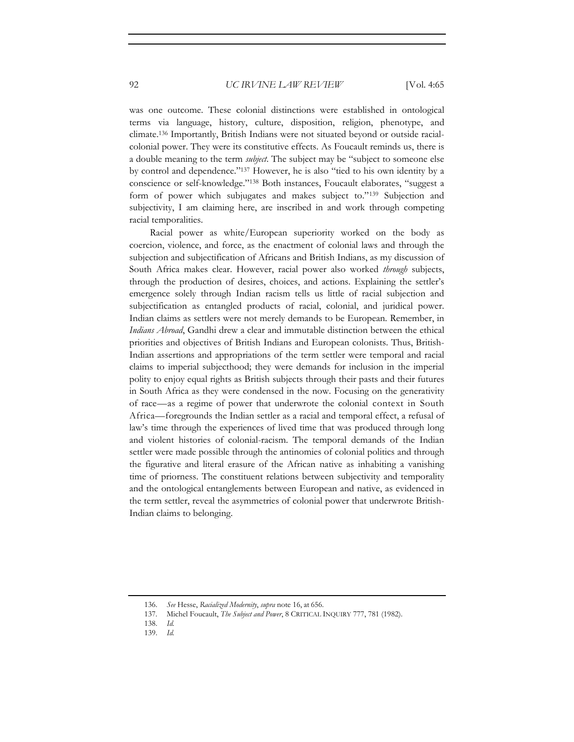was one outcome. These colonial distinctions were established in ontological terms via language, history, culture, disposition, religion, phenotype, and climate.136 Importantly, British Indians were not situated beyond or outside racialcolonial power. They were its constitutive effects. As Foucault reminds us, there is a double meaning to the term *subject*. The subject may be "subject to someone else by control and dependence."137 However, he is also "tied to his own identity by a conscience or self-knowledge."138 Both instances, Foucault elaborates, "suggest a form of power which subjugates and makes subject to."139 Subjection and subjectivity, I am claiming here, are inscribed in and work through competing racial temporalities.

Racial power as white/European superiority worked on the body as coercion, violence, and force, as the enactment of colonial laws and through the subjection and subjectification of Africans and British Indians, as my discussion of South Africa makes clear. However, racial power also worked *through* subjects, through the production of desires, choices, and actions. Explaining the settler's emergence solely through Indian racism tells us little of racial subjection and subjectification as entangled products of racial, colonial, and juridical power. Indian claims as settlers were not merely demands to be European. Remember, in *Indians Abroad*, Gandhi drew a clear and immutable distinction between the ethical priorities and objectives of British Indians and European colonists. Thus, British-Indian assertions and appropriations of the term settler were temporal and racial claims to imperial subjecthood; they were demands for inclusion in the imperial polity to enjoy equal rights as British subjects through their pasts and their futures in South Africa as they were condensed in the now. Focusing on the generativity of race—as a regime of power that underwrote the colonial context in South Africa—foregrounds the Indian settler as a racial and temporal effect, a refusal of law's time through the experiences of lived time that was produced through long and violent histories of colonial-racism. The temporal demands of the Indian settler were made possible through the antinomies of colonial politics and through the figurative and literal erasure of the African native as inhabiting a vanishing time of priorness. The constituent relations between subjectivity and temporality and the ontological entanglements between European and native, as evidenced in the term settler, reveal the asymmetries of colonial power that underwrote British-Indian claims to belonging.

- 138. *Id.*
- 139. *Id.*

<sup>136.</sup> *See* Hesse, *Racialized Modernity*, *supra* note 16, at 656.

<sup>137.</sup> Michel Foucault, *The Subject and Power*, 8 CRITICAL INQUIRY 777, 781 (1982).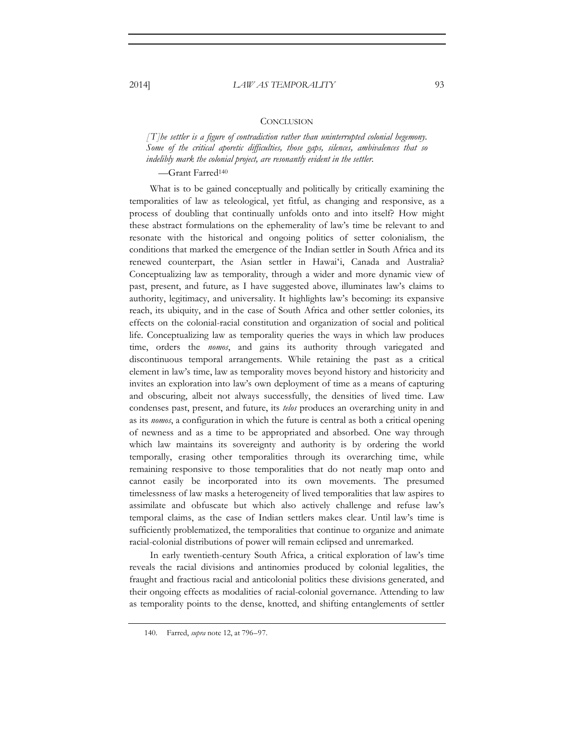## **CONCLUSION**

*[ T]he settler is a figure of contradiction rather than uninterrupted colonial hegemony. Some of the critical aporetic difficulties, those gaps, silences, ambivalences that so*  indelibly mark the colonial project, are resonantly evident in the settler.

—Grant Farred140

What is to be gained conceptually and politically by critically examining the temporalities of law as teleological, yet fitful, as changing and responsive, as a process of doubling that continually unfolds onto and into itself? How might these abstract formulations on the ephemerality of law's time be relevant to and resonate with the historical and ongoing politics of setter colonialism, the conditions that marked the emergence of the Indian settler in South Africa and its renewed counterpart, the Asian settler in Hawaiʻi, Canada and Australia? Conceptualizing law as temporality, through a wider and more dynamic view of past, present, and future, as I have suggested above, illuminates law's claims to authority, legitimacy, and universality. It highlights law's becoming: its expansive reach, its ubiquity, and in the case of South Africa and other settler colonies, its effects on the colonial-racial constitution and organization of social and political life. Conceptualizing law as temporality queries the ways in which law produces time, orders the *nomos*, and gains its authority through variegated and discontinuous temporal arrangements. While retaining the past as a critical element in law's time, law as temporality moves beyond history and historicity and invites an exploration into law's own deployment of time as a means of capturing and obscuring, albeit not always successfully, the densities of lived time. Law condenses past, present, and future, its *telos* produces an overarching unity in and as its *nomos*, a configuration in which the future is central as both a critical opening of newness and as a time to be appropriated and absorbed. One way through which law maintains its sovereignty and authority is by ordering the world temporally, erasing other temporalities through its overarching time, while remaining responsive to those temporalities that do not neatly map onto and cannot easily be incorporated into its own movements. The presumed timelessness of law masks a heterogeneity of lived temporalities that law aspires to assimilate and obfuscate but which also actively challenge and refuse law's temporal claims, as the case of Indian settlers makes clear. Until law's time is sufficiently problematized, the temporalities that continue to organize and animate racial-colonial distributions of power will remain eclipsed and unremarked.

In early twentieth-century South Africa, a critical exploration of law's time reveals the racial divisions and antinomies produced by colonial legalities, the fraught and fractious racial and anticolonial politics these divisions generated, and their ongoing effects as modalities of racial-colonial governance. Attending to law as temporality points to the dense, knotted, and shifting entanglements of settler

<sup>140.</sup> Farred, *supra* note 12, at 796–97.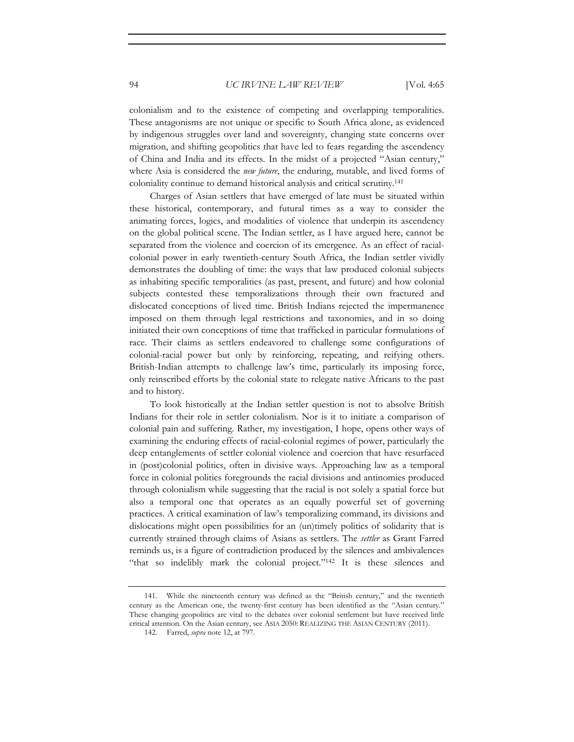colonialism and to the existence of competing and overlapping temporalities. These antagonisms are not unique or specific to South Africa alone, as evidenced by indigenous struggles over land and sovereignty, changing state concerns over migration, and shifting geopolitics that have led to fears regarding the ascendency of China and India and its effects. In the midst of a projected "Asian century," where Asia is considered the *new future*, the enduring, mutable, and lived forms of coloniality continue to demand historical analysis and critical scrutiny.141

Charges of Asian settlers that have emerged of late must be situated within these historical, contemporary, and futural times as a way to consider the animating forces, logics, and modalities of violence that underpin its ascendency on the global political scene. The Indian settler, as I have argued here, cannot be separated from the violence and coercion of its emergence. As an effect of racialcolonial power in early twentieth-century South Africa, the Indian settler vividly demonstrates the doubling of time: the ways that law produced colonial subjects as inhabiting specific temporalities (as past, present, and future) and how colonial subjects contested these temporalizations through their own fractured and dislocated conceptions of lived time. British Indians rejected the impermanence imposed on them through legal restrictions and taxonomies, and in so doing initiated their own conceptions of time that trafficked in particular formulations of race. Their claims as settlers endeavored to challenge some configurations of colonial-racial power but only by reinforcing, repeating, and reifying others. British-Indian attempts to challenge law's time, particularly its imposing force, only reinscribed efforts by the colonial state to relegate native Africans to the past and to history.

To look historically at the Indian settler question is not to absolve British Indians for their role in settler colonialism. Nor is it to initiate a comparison of colonial pain and suffering. Rather, my investigation, I hope, opens other ways of examining the enduring effects of racial-colonial regimes of power, particularly the deep entanglements of settler colonial violence and coercion that have resurfaced in (post)colonial politics, often in divisive ways. Approaching law as a temporal force in colonial politics foregrounds the racial divisions and antinomies produced through colonialism while suggesting that the racial is not solely a spatial force but also a temporal one that operates as an equally powerful set of governing practices. A critical examination of law's temporalizing command, its divisions and dislocations might open possibilities for an (un)timely politics of solidarity that is currently strained through claims of Asians as settlers. The *settler* as Grant Farred reminds us, is a figure of contradiction produced by the silences and ambivalences "that so indelibly mark the colonial project."142 It is these silences and

<sup>141.</sup> While the nineteenth century was defined as the "British century," and the twentieth century as the American one, the twenty-first century has been identified as the "Asian century." These changing geopolitics are vital to the debates over colonial settlement but have received little critical attention. On the Asian century, see ASIA 2050: REALIZING THE ASIAN CENTURY (2011).

<sup>142.</sup> Farred, *supra* note 12, at 797.